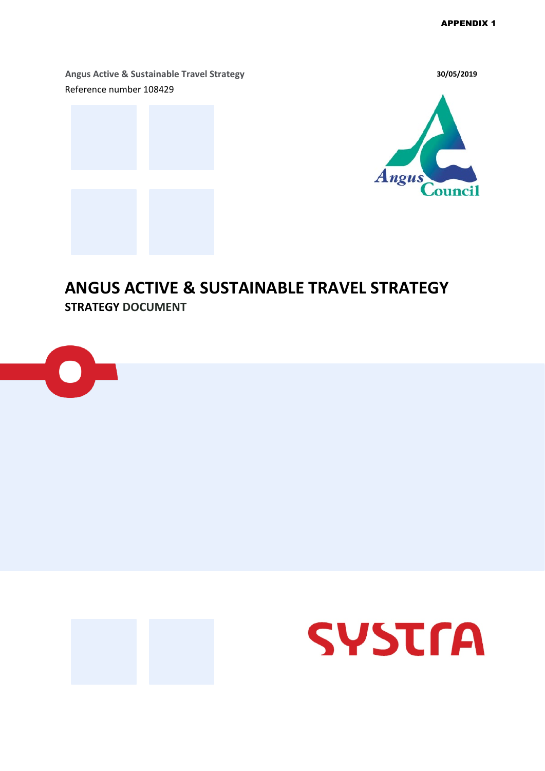**Angus Active & Sustainable Travel Strategy 30/05/2019**  Reference number 108429





### **ANGUS ACTIVE & SUSTAINABLE TRAVEL STRATEGY STRATEGY DOCUMENT**





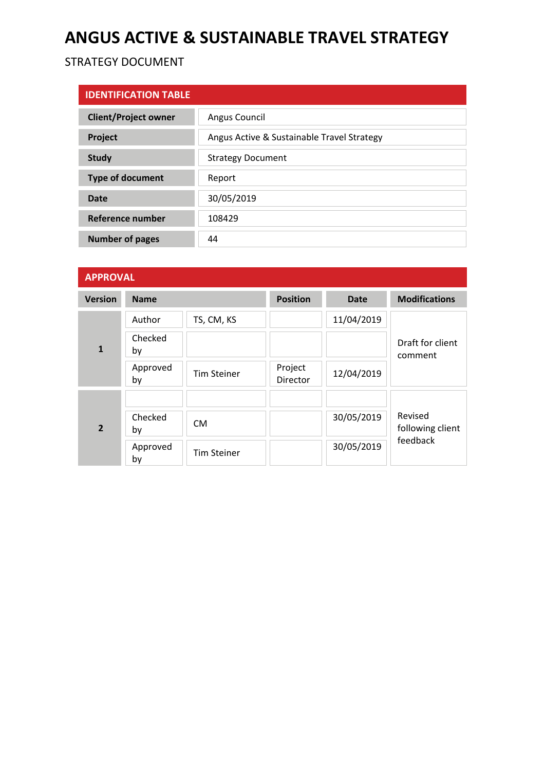## **ANGUS ACTIVE & SUSTAINABLE TRAVEL STRATEGY**

### STRATEGY DOCUMENT

| <b>IDENTIFICATION TABLE</b> |                                            |  |
|-----------------------------|--------------------------------------------|--|
| <b>Client/Project owner</b> | Angus Council                              |  |
| <b>Project</b>              | Angus Active & Sustainable Travel Strategy |  |
| <b>Study</b>                | <b>Strategy Document</b>                   |  |
| <b>Type of document</b>     | Report                                     |  |
| Date                        | 30/05/2019                                 |  |
| <b>Reference number</b>     | 108429                                     |  |
| <b>Number of pages</b>      | 44                                         |  |

### **APPROVAL**

| <b>Version</b> | <b>Name</b>    |                    | <b>Position</b>     | Date       | <b>Modifications</b>        |
|----------------|----------------|--------------------|---------------------|------------|-----------------------------|
|                | Author         | TS, CM, KS         |                     | 11/04/2019 |                             |
| $\mathbf{1}$   | Checked<br>by  |                    |                     |            | Draft for client<br>comment |
|                | Approved<br>by | <b>Tim Steiner</b> | Project<br>Director | 12/04/2019 |                             |
|                |                |                    |                     |            |                             |
| $\overline{2}$ | Checked<br>by  | <b>CM</b>          |                     | 30/05/2019 | Revised<br>following client |
|                | Approved<br>by | <b>Tim Steiner</b> |                     | 30/05/2019 | feedback                    |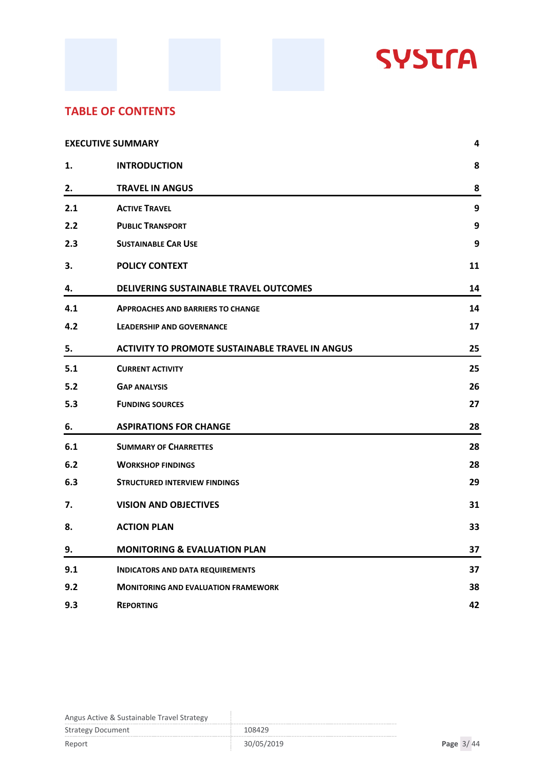

### **TABLE OF CONTENTS**

| <b>EXECUTIVE SUMMARY</b> |                                                        | 4  |
|--------------------------|--------------------------------------------------------|----|
| 1.                       | <b>INTRODUCTION</b>                                    | 8  |
| 2.                       | <b>TRAVEL IN ANGUS</b>                                 | 8  |
| 2.1                      | <b>ACTIVE TRAVEL</b>                                   | 9  |
| 2.2                      | <b>PUBLIC TRANSPORT</b>                                | 9  |
| 2.3                      | <b>SUSTAINABLE CAR USE</b>                             | 9  |
| 3.                       | <b>POLICY CONTEXT</b>                                  | 11 |
| 4.                       | DELIVERING SUSTAINABLE TRAVEL OUTCOMES                 | 14 |
| 4.1                      | <b>APPROACHES AND BARRIERS TO CHANGE</b>               | 14 |
| 4.2                      | <b>LEADERSHIP AND GOVERNANCE</b>                       | 17 |
| 5.                       | <b>ACTIVITY TO PROMOTE SUSTAINABLE TRAVEL IN ANGUS</b> | 25 |
| 5.1                      | <b>CURRENT ACTIVITY</b>                                | 25 |
| 5.2                      | <b>GAP ANALYSIS</b>                                    | 26 |
| 5.3                      | <b>FUNDING SOURCES</b>                                 | 27 |
| 6.                       | <b>ASPIRATIONS FOR CHANGE</b>                          | 28 |
| 6.1                      | <b>SUMMARY OF CHARRETTES</b>                           | 28 |
| 6.2                      | <b>WORKSHOP FINDINGS</b>                               | 28 |
| 6.3                      | <b>STRUCTURED INTERVIEW FINDINGS</b>                   | 29 |
| 7.                       | <b>VISION AND OBJECTIVES</b>                           | 31 |
| 8.                       | <b>ACTION PLAN</b>                                     | 33 |
| 9.                       | <b>MONITORING &amp; EVALUATION PLAN</b>                | 37 |
| 9.1                      | <b>INDICATORS AND DATA REQUIREMENTS</b>                | 37 |
| 9.2                      | <b>MONITORING AND EVALUATION FRAMEWORK</b>             | 38 |
| 9.3                      | <b>REPORTING</b>                                       | 42 |

| <b>Strategy Document</b> | 108429     |             |  |
|--------------------------|------------|-------------|--|
| Report                   | 30/05/2019 | Page $3/44$ |  |

J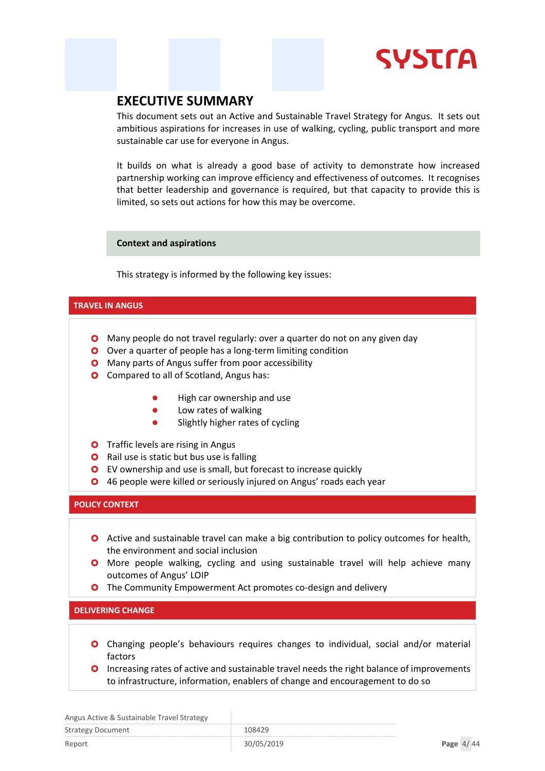# **SYSTra**

### <span id="page-3-0"></span>**EXECUTIVE SUMMARY**

This document sets out an Active and Sustainable Travel Strategy for Angus. It sets out ambitious aspirations for increases in use of walking, cycling, public transport and more sustainable car use for everyone in Angus.

It builds on what is already a good base of activity to demonstrate how increased partnership working can improve efficiency and effectiveness of outcomes. It recognises that better leadership and governance is required, but that capacity to provide this is limited, so sets out actions for how this may be overcome.

#### **Context and aspirations**

This strategy is informed by the following key issues:

#### **TRAVEL IN ANGUS**

- **O** Many people do not travel regularly: over a quarter do not on any given day
- O Over a quarter of people has a long-term limiting condition
- **O** Many parts of Angus suffer from poor accessibility
- **O** Compared to all of Scotland, Angus has:
	- High car ownership and use
	- **•** Low rates of walking
	- **•** Slightly higher rates of cycling
- **O** Traffic levels are rising in Angus
- **O** Rail use is static but bus use is falling
- EV ownership and use is small, but forecast to increase quickly
- **O** 46 people were killed or seriously injured on Angus' roads each year

#### **POLICY CONTEXT**

- **O** Active and sustainable travel can make a big contribution to policy outcomes for health, the environment and social inclusion
- **O** More people walking, cycling and using sustainable travel will help achieve many outcomes of Angus' LOIP
- **O** The Community Empowerment Act promotes co-design and delivery

#### **DELIVERING CHANGE**

- Changing people's behaviours requires changes to individual, social and/or material factors
- **O** Increasing rates of active and sustainable travel needs the right balance of improvements to infrastructure, information, enablers of change and encouragement to do so

| This as Tiented & Sastaniable Travel Stratesy |            |             |
|-----------------------------------------------|------------|-------------|
| <b>Strategy Document</b>                      | 108429     |             |
| Report                                        | 30/05/2019 | Page $4/44$ |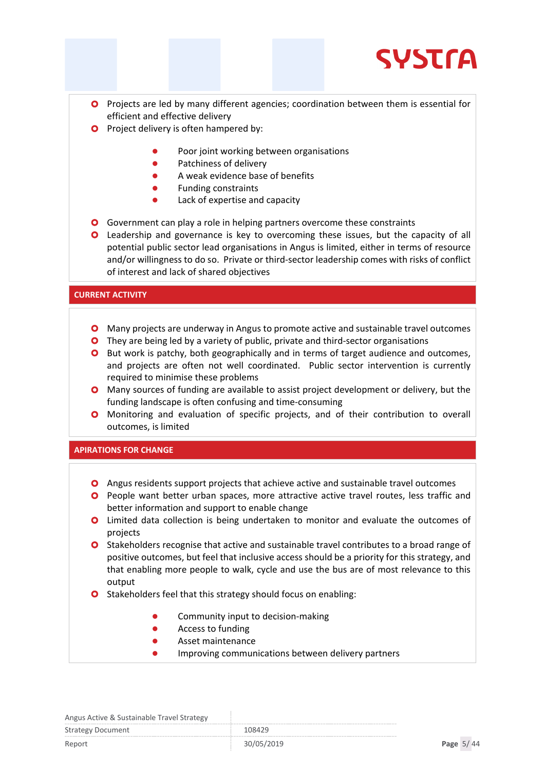

- **O** Projects are led by many different agencies; coordination between them is essential for efficient and effective delivery
- **O** Project delivery is often hampered by:
	- Poor joint working between organisations
	- **•** Patchiness of delivery
	- A weak evidence base of benefits
	- Funding constraints
	- Lack of expertise and capacity
- Government can play a role in helping partners overcome these constraints
- Leadership and governance is key to overcoming these issues, but the capacity of all potential public sector lead organisations in Angus is limited, either in terms of resource and/or willingness to do so. Private or third-sector leadership comes with risks of conflict of interest and lack of shared objectives

#### **CURRENT ACTIVITY**

- Many projects are underway in Angus to promote active and sustainable travel outcomes
- **O** They are being led by a variety of public, private and third-sector organisations
- **O** But work is patchy, both geographically and in terms of target audience and outcomes, and projects are often not well coordinated. Public sector intervention is currently required to minimise these problems
- Many sources of funding are available to assist project development or delivery, but the funding landscape is often confusing and time-consuming
- **O** Monitoring and evaluation of specific projects, and of their contribution to overall outcomes, is limited

#### **APIRATIONS FOR CHANGE**

- Angus residents support projects that achieve active and sustainable travel outcomes
- **O** People want better urban spaces, more attractive active travel routes, less traffic and better information and support to enable change
- Limited data collection is being undertaken to monitor and evaluate the outcomes of projects
- **O** Stakeholders recognise that active and sustainable travel contributes to a broad range of positive outcomes, but feel that inclusive access should be a priority for this strategy, and that enabling more people to walk, cycle and use the bus are of most relevance to this output
- **O** Stakeholders feel that this strategy should focus on enabling:
	- Community input to decision-making
	- **•** Access to funding
	- Asset maintenance
	- Improving communications between delivery partners

#### Angus Active & Sustainable Travel Strategy

Strategy Document 108429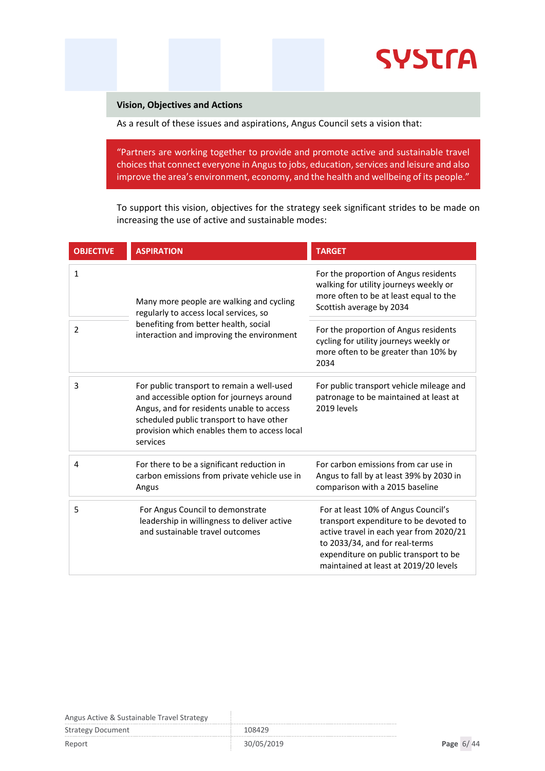

#### **Vision, Objectives and Actions**

As a result of these issues and aspirations, Angus Council sets a vision that:

"Partners are working together to provide and promote active and sustainable travel choices that connect everyone in Angus to jobs, education, services and leisure and also improve the area's environment, economy, and the health and wellbeing of its people."

To support this vision, objectives for the strategy seek significant strides to be made on increasing the use of active and sustainable modes:

| <b>OBJECTIVE</b> | <b>ASPIRATION</b>                                                                                                                                                                                                                            | <b>TARGET</b>                                                                                                                                                                                                                                |
|------------------|----------------------------------------------------------------------------------------------------------------------------------------------------------------------------------------------------------------------------------------------|----------------------------------------------------------------------------------------------------------------------------------------------------------------------------------------------------------------------------------------------|
| $\mathbf{1}$     | Many more people are walking and cycling<br>regularly to access local services, so                                                                                                                                                           | For the proportion of Angus residents<br>walking for utility journeys weekly or<br>more often to be at least equal to the<br>Scottish average by 2034                                                                                        |
| 2                | benefiting from better health, social<br>interaction and improving the environment                                                                                                                                                           | For the proportion of Angus residents<br>cycling for utility journeys weekly or<br>more often to be greater than 10% by<br>2034                                                                                                              |
| 3                | For public transport to remain a well-used<br>and accessible option for journeys around<br>Angus, and for residents unable to access<br>scheduled public transport to have other<br>provision which enables them to access local<br>services | For public transport vehicle mileage and<br>patronage to be maintained at least at<br>2019 levels                                                                                                                                            |
| 4                | For there to be a significant reduction in<br>carbon emissions from private vehicle use in<br>Angus                                                                                                                                          | For carbon emissions from car use in<br>Angus to fall by at least 39% by 2030 in<br>comparison with a 2015 baseline                                                                                                                          |
| 5                | For Angus Council to demonstrate<br>leadership in willingness to deliver active<br>and sustainable travel outcomes                                                                                                                           | For at least 10% of Angus Council's<br>transport expenditure to be devoted to<br>active travel in each year from 2020/21<br>to 2033/34, and for real-terms<br>expenditure on public transport to be<br>maintained at least at 2019/20 levels |

| <b>Strategy Document</b> | 108429     |             |
|--------------------------|------------|-------------|
| Report                   | 30/05/2019 | Page $6/44$ |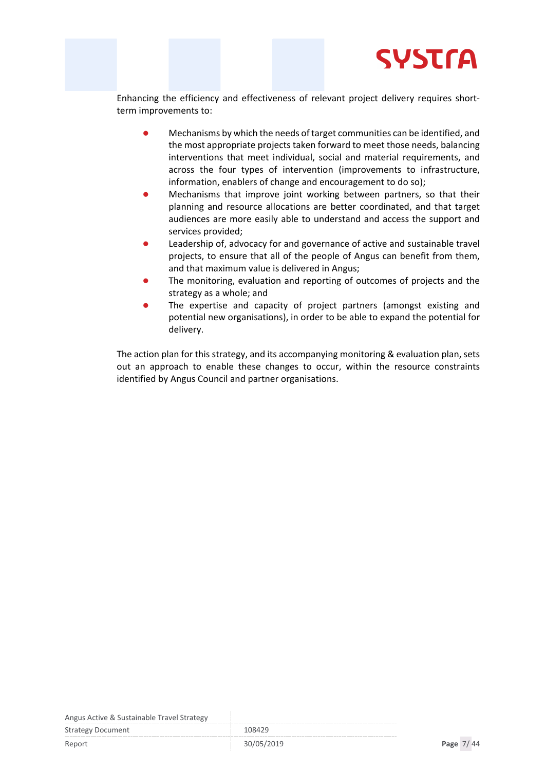

Enhancing the efficiency and effectiveness of relevant project delivery requires shortterm improvements to:

- Mechanisms by which the needs of target communities can be identified, and the most appropriate projects taken forward to meet those needs, balancing interventions that meet individual, social and material requirements, and across the four types of intervention (improvements to infrastructure, information, enablers of change and encouragement to do so);
- Mechanisms that improve joint working between partners, so that their planning and resource allocations are better coordinated, and that target audiences are more easily able to understand and access the support and services provided;
- Leadership of, advocacy for and governance of active and sustainable travel projects, to ensure that all of the people of Angus can benefit from them, and that maximum value is delivered in Angus;
- The monitoring, evaluation and reporting of outcomes of projects and the strategy as a whole; and
- The expertise and capacity of project partners (amongst existing and potential new organisations), in order to be able to expand the potential for delivery.

The action plan for this strategy, and its accompanying monitoring & evaluation plan, sets out an approach to enable these changes to occur, within the resource constraints identified by Angus Council and partner organisations.

Angus Active & Sustainable Travel Strategy

Strategy Document 108429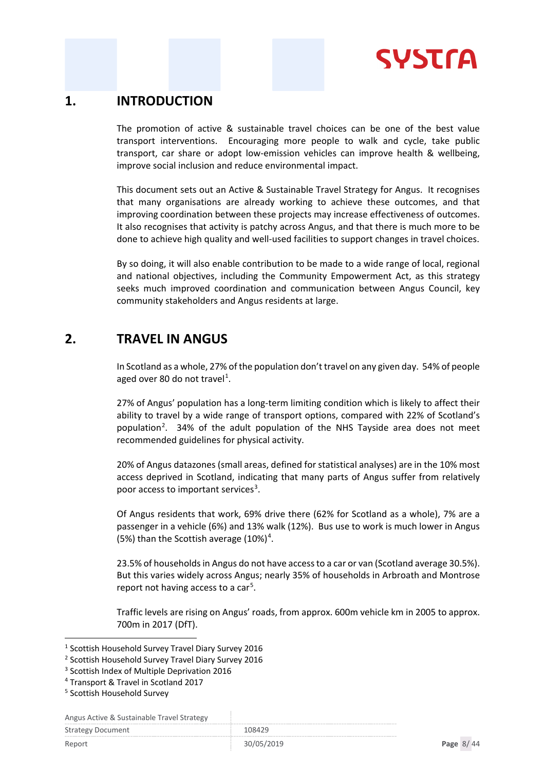

### <span id="page-7-0"></span>**1. INTRODUCTION**

The promotion of active & sustainable travel choices can be one of the best value transport interventions. Encouraging more people to walk and cycle, take public transport, car share or adopt low-emission vehicles can improve health & wellbeing, improve social inclusion and reduce environmental impact.

This document sets out an Active & Sustainable Travel Strategy for Angus. It recognises that many organisations are already working to achieve these outcomes, and that improving coordination between these projects may increase effectiveness of outcomes. It also recognises that activity is patchy across Angus, and that there is much more to be done to achieve high quality and well-used facilities to support changes in travel choices.

By so doing, it will also enable contribution to be made to a wide range of local, regional and national objectives, including the Community Empowerment Act, as this strategy seeks much improved coordination and communication between Angus Council, key community stakeholders and Angus residents at large.

### <span id="page-7-1"></span>**2. TRAVEL IN ANGUS**

In Scotland as a whole, 27% of the population don't travel on any given day. 54% of people aged over 80 do not travel<sup>[1](#page-7-2)</sup>.

27% of Angus' population has a long-term limiting condition which is likely to affect their ability to travel by a wide range of transport options, compared with 22% of Scotland's population<sup>[2](#page-7-3)</sup>. 34% of the adult population of the NHS Tayside area does not meet recommended guidelines for physical activity.

20% of Angus datazones (small areas, defined for statistical analyses) are in the 10% most access deprived in Scotland, indicating that many parts of Angus suffer from relatively poor access to important services<sup>[3](#page-7-4)</sup>.

Of Angus residents that work, 69% drive there (62% for Scotland as a whole), 7% are a passenger in a vehicle (6%) and 13% walk (12%). Bus use to work is much lower in Angus (5%) than the Scottish average  $(10\%)^4$  $(10\%)^4$ .

23.5% of households in Angus do not have access to a car or van (Scotland average 30.5%). But this varies widely across Angus; nearly 35% of households in Arbroath and Montrose report not having access to a car<sup>[5](#page-7-6)</sup>.

Traffic levels are rising on Angus' roads, from approx. 600m vehicle km in 2005 to approx. 700m in 2017 (DfT).

| $\frac{1}{2}$ and $\frac{1}{2}$ are the constant above that $\frac{1}{2}$ and $\frac{1}{2}$ |        |
|---------------------------------------------------------------------------------------------|--------|
| <b>Strategy Document</b>                                                                    | 108429 |
|                                                                                             |        |

<span id="page-7-2"></span><sup>1</sup> Scottish Household Survey Travel Diary Survey 2016

<span id="page-7-3"></span><sup>2</sup> Scottish Household Survey Travel Diary Survey 2016

<span id="page-7-4"></span><sup>&</sup>lt;sup>3</sup> Scottish Index of Multiple Deprivation 2016

<span id="page-7-5"></span><sup>4</sup> Transport & Travel in Scotland 2017

<span id="page-7-6"></span><sup>5</sup> Scottish Household Survey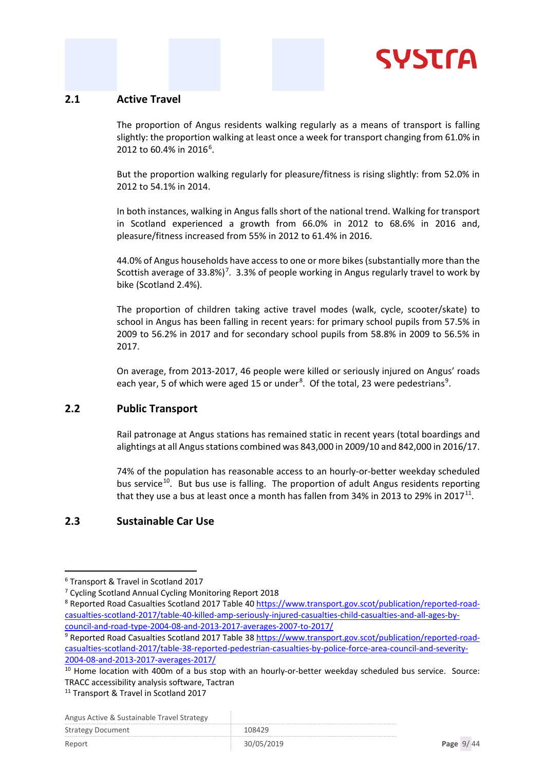

#### <span id="page-8-0"></span>**2.1 Active Travel**

The proportion of Angus residents walking regularly as a means of transport is falling slightly: the proportion walking at least once a week for transport changing from 61.0% in 2012 to [6](#page-8-3)0.4% in 2016<sup>6</sup>.

But the proportion walking regularly for pleasure/fitness is rising slightly: from 52.0% in 2012 to 54.1% in 2014.

In both instances, walking in Angus falls short of the national trend. Walking for transport in Scotland experienced a growth from 66.0% in 2012 to 68.6% in 2016 and, pleasure/fitness increased from 55% in 2012 to 61.4% in 2016.

44.0% of Angus households have access to one or more bikes (substantially more than the Scottish average of 33.8%)<sup>[7](#page-8-4)</sup>. 3.3% of people working in Angus regularly travel to work by bike (Scotland 2.4%).

The proportion of children taking active travel modes (walk, cycle, scooter/skate) to school in Angus has been falling in recent years: for primary school pupils from 57.5% in 2009 to 56.2% in 2017 and for secondary school pupils from 58.8% in 2009 to 56.5% in 2017.

On average, from 2013-2017, 46 people were killed or seriously injured on Angus' roads each year, 5 of which were aged 15 or under<sup>[8](#page-8-5)</sup>. Of the total, 23 were pedestrians<sup>[9](#page-8-6)</sup>.

#### <span id="page-8-1"></span>**2.2 Public Transport**

Rail patronage at Angus stations has remained static in recent years (total boardings and alightings at all Angus stations combined was 843,000 in 2009/10 and 842,000 in 2016/17.

74% of the population has reasonable access to an hourly-or-better weekday scheduled bus service<sup>[10](#page-8-7)</sup>. But bus use is falling. The proportion of adult Angus residents reporting that they use a bus at least once a month has fallen from 34% in 2013 to 29% in 2017 $^{11}$  $^{11}$  $^{11}$ .

#### <span id="page-8-2"></span>**2.3 Sustainable Car Use**

Angus Active & Sustainable Travel Strategy

| <b>Strategy Document</b> | 108429 |
|--------------------------|--------|

<span id="page-8-3"></span><sup>6</sup> Transport & Travel in Scotland 2017

<span id="page-8-4"></span><sup>7</sup> Cycling Scotland Annual Cycling Monitoring Report 2018

<span id="page-8-5"></span><sup>8</sup> Reported Road Casualties Scotland 2017 Table 40 [https://www.transport.gov.scot/publication/reported-road](https://www.transport.gov.scot/publication/reported-road-casualties-scotland-2017/table-40-killed-amp-seriously-injured-casualties-child-casualties-and-all-ages-by-council-and-road-type-2004-08-and-2013-2017-averages-2007-to-2017/)[casualties-scotland-2017/table-40-killed-amp-seriously-injured-casualties-child-casualties-and-all-ages-by](https://www.transport.gov.scot/publication/reported-road-casualties-scotland-2017/table-40-killed-amp-seriously-injured-casualties-child-casualties-and-all-ages-by-council-and-road-type-2004-08-and-2013-2017-averages-2007-to-2017/)[council-and-road-type-2004-08-and-2013-2017-averages-2007-to-2017/](https://www.transport.gov.scot/publication/reported-road-casualties-scotland-2017/table-40-killed-amp-seriously-injured-casualties-child-casualties-and-all-ages-by-council-and-road-type-2004-08-and-2013-2017-averages-2007-to-2017/)

<span id="page-8-6"></span><sup>9</sup> Reported Road Casualties Scotland 2017 Table 38 [https://www.transport.gov.scot/publication/reported-road](https://www.transport.gov.scot/publication/reported-road-casualties-scotland-2017/table-38-reported-pedestrian-casualties-by-police-force-area-council-and-severity-2004-08-and-2013-2017-averages-2017/)[casualties-scotland-2017/table-38-reported-pedestrian-casualties-by-police-force-area-council-and-severity-](https://www.transport.gov.scot/publication/reported-road-casualties-scotland-2017/table-38-reported-pedestrian-casualties-by-police-force-area-council-and-severity-2004-08-and-2013-2017-averages-2017/)[2004-08-and-2013-2017-averages-2017/](https://www.transport.gov.scot/publication/reported-road-casualties-scotland-2017/table-38-reported-pedestrian-casualties-by-police-force-area-council-and-severity-2004-08-and-2013-2017-averages-2017/)

<span id="page-8-7"></span><sup>&</sup>lt;sup>10</sup> Home location with 400m of a bus stop with an hourly-or-better weekday scheduled bus service. Source: TRACC accessibility analysis software, Tactran

<span id="page-8-8"></span><sup>&</sup>lt;sup>11</sup> Transport & Travel in Scotland 2017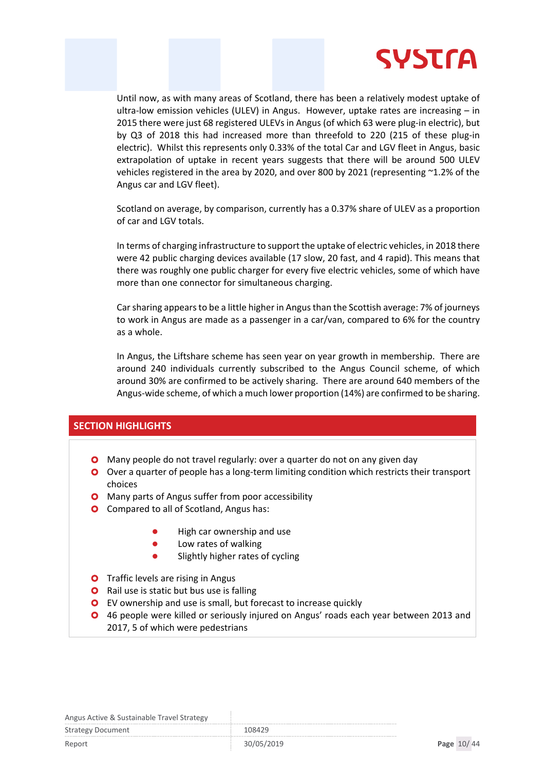

Until now, as with many areas of Scotland, there has been a relatively modest uptake of ultra-low emission vehicles (ULEV) in Angus. However, uptake rates are increasing – in 2015 there were just 68 registered ULEVs in Angus (of which 63 were plug-in electric), but by Q3 of 2018 this had increased more than threefold to 220 (215 of these plug-in electric). Whilst this represents only 0.33% of the total Car and LGV fleet in Angus, basic extrapolation of uptake in recent years suggests that there will be around 500 ULEV vehicles registered in the area by 2020, and over 800 by 2021 (representing ~1.2% of the Angus car and LGV fleet).

Scotland on average, by comparison, currently has a 0.37% share of ULEV as a proportion of car and LGV totals.

In terms of charging infrastructure to support the uptake of electric vehicles, in 2018 there were 42 public charging devices available (17 slow, 20 fast, and 4 rapid). This means that there was roughly one public charger for every five electric vehicles, some of which have more than one connector for simultaneous charging.

Car sharing appears to be a little higher in Angus than the Scottish average: 7% of journeys to work in Angus are made as a passenger in a car/van, compared to 6% for the country as a whole.

In Angus, the Liftshare scheme has seen year on year growth in membership. There are around 240 individuals currently subscribed to the Angus Council scheme, of which around 30% are confirmed to be actively sharing. There are around 640 members of the Angus-wide scheme, of which a much lower proportion (14%) are confirmed to be sharing.

#### **SECTION HIGHLIGHTS**

- **O** Many people do not travel regularly: over a quarter do not on any given day
- O Over a quarter of people has a long-term limiting condition which restricts their transport choices
- **O** Many parts of Angus suffer from poor accessibility
- **O** Compared to all of Scotland, Angus has:
	- High car ownership and use
	- **•** Low rates of walking
	- Slightly higher rates of cycling
- **O** Traffic levels are rising in Angus
- **O** Rail use is static but bus use is falling
- **O** EV ownership and use is small, but forecast to increase quickly
- 46 people were killed or seriously injured on Angus' roads each year between 2013 and 2017, 5 of which were pedestrians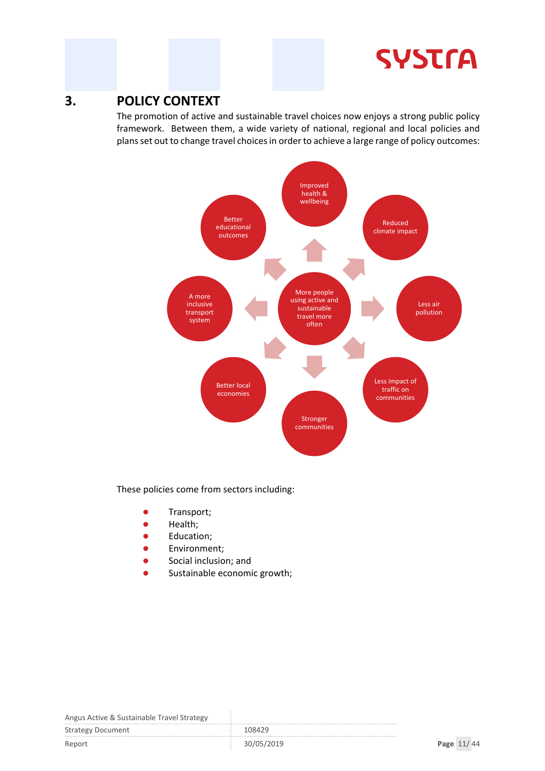# **SYSTrA**

### <span id="page-10-0"></span>**3. POLICY CONTEXT**

The promotion of active and sustainable travel choices now enjoys a strong public policy framework. Between them, a wide variety of national, regional and local policies and plans set out to change travel choices in order to achieve a large range of policy outcomes:



These policies come from sectors including:

- Transport;
- **•** Health;
- **•** Education;
- **Environment**;
- **•** Social inclusion; and
- Sustainable economic growth;

| $\frac{1}{100}$          |            |            |  |
|--------------------------|------------|------------|--|
| <b>Strategy Document</b> | 108429     |            |  |
| Report                   | 30/05/2019 | Page 11/44 |  |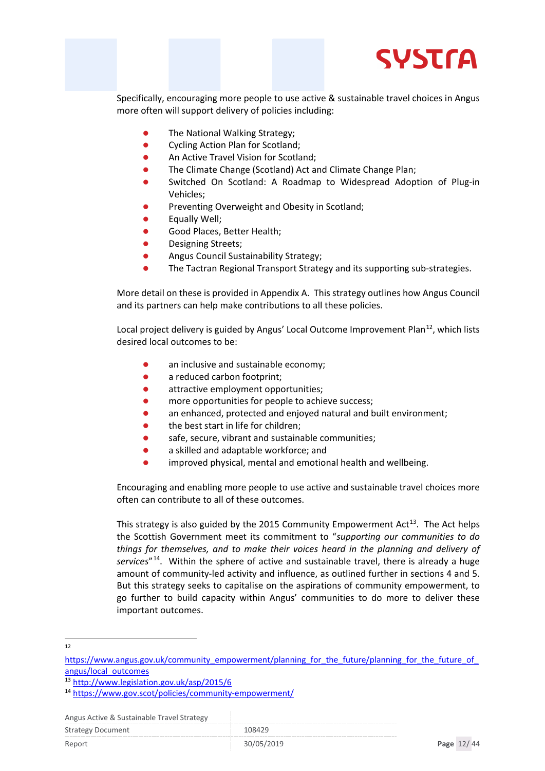

Specifically, encouraging more people to use active & sustainable travel choices in Angus more often will support delivery of policies including:

- The National Walking Strategy;
- Cycling Action Plan for Scotland;
- An Active Travel Vision for Scotland;
- The Climate Change (Scotland) Act and Climate Change Plan;
- Switched On Scotland: A Roadmap to Widespread Adoption of Plug-in Vehicles;
- Preventing Overweight and Obesity in Scotland;
- Equally Well;
- Good Places, Better Health;
- Designing Streets;
- Angus Council Sustainability Strategy;
- The Tactran Regional Transport Strategy and its supporting sub-strategies.

More detail on these is provided in Appendix A. This strategy outlines how Angus Council and its partners can help make contributions to all these policies.

Local project delivery is guided by Angus' Local Outcome Improvement Plan<sup>12</sup>, which lists desired local outcomes to be:

- an inclusive and sustainable economy;
- a reduced carbon footprint:
- **•** attractive employment opportunities;
- more opportunities for people to achieve success;
- an enhanced, protected and enjoyed natural and built environment;
- the best start in life for children;
- safe, secure, vibrant and sustainable communities;
- a skilled and adaptable workforce; and
- improved physical, mental and emotional health and wellbeing.

Encouraging and enabling more people to use active and sustainable travel choices more often can contribute to all of these outcomes.

This strategy is also guided by the 2015 Community Empowerment  $Act^{13}$ . The Act helps the Scottish Government meet its commitment to "*supporting our communities to do things for themselves, and to make their voices heard in the planning and delivery of services*"[14.](#page-11-2) Within the sphere of active and sustainable travel, there is already a huge amount of community-led activity and influence, as outlined further in sections 4 and 5. But this strategy seeks to capitalise on the aspirations of community empowerment, to go further to build capacity within Angus' communities to do more to deliver these important outcomes.

<sup>12</sup>

<span id="page-11-0"></span>https://www.angus.gov.uk/community\_empowerment/planning\_for\_the\_future/planning\_for\_the\_future\_of [angus/local\\_outcomes](https://www.angus.gov.uk/community_empowerment/planning_for_the_future/planning_for_the_future_of_angus/local_outcomes)

<span id="page-11-1"></span><sup>13</sup> <http://www.legislation.gov.uk/asp/2015/6>

<span id="page-11-2"></span><sup>14</sup> <https://www.gov.scot/policies/community-empowerment/>

Angus Active & Sustainable Travel Strategy

Strategy Document 108429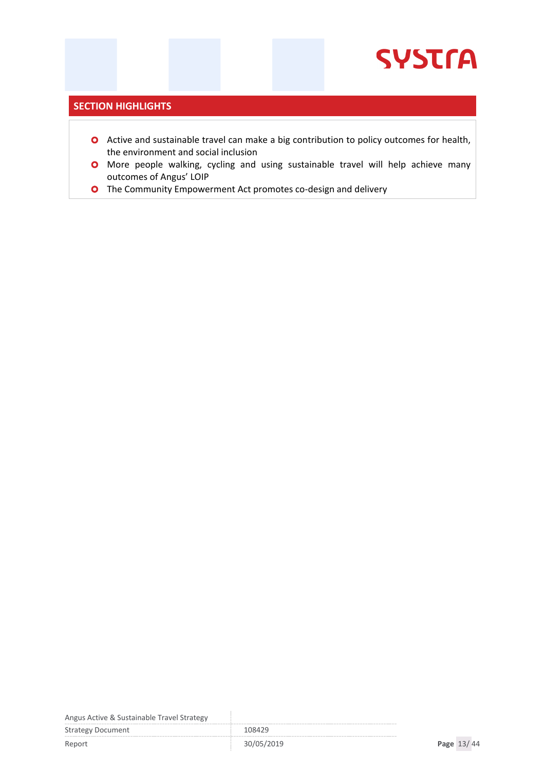#### **SECTION HIGHLIGHTS**

- **O** Active and sustainable travel can make a big contribution to policy outcomes for health, the environment and social inclusion
- More people walking, cycling and using sustainable travel will help achieve many outcomes of Angus' LOIP
- **O** The Community Empowerment Act promotes co-design and delivery

Angus Active & Sustainable Travel Strategy

Strategy Document 108429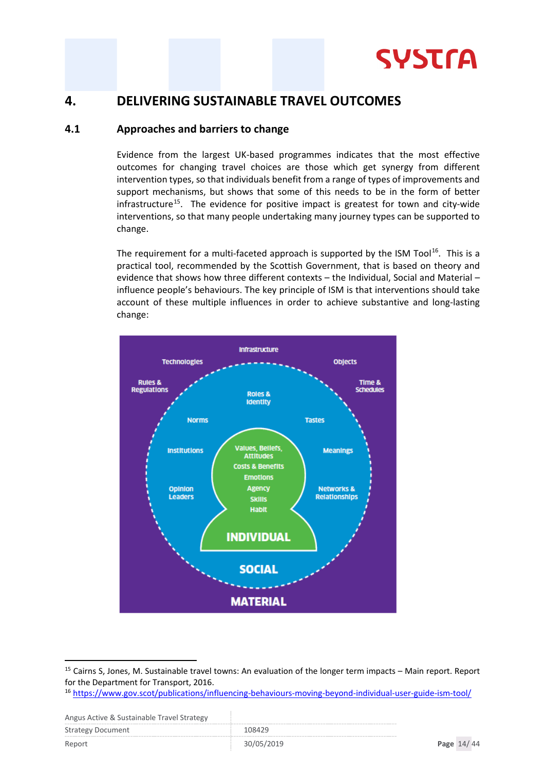

### <span id="page-13-0"></span>**4. DELIVERING SUSTAINABLE TRAVEL OUTCOMES**

#### <span id="page-13-1"></span>**4.1 Approaches and barriers to change**

Evidence from the largest UK-based programmes indicates that the most effective outcomes for changing travel choices are those which get synergy from different intervention types, so that individuals benefit from a range of types of improvements and support mechanisms, but shows that some of this needs to be in the form of better infrastructure<sup>[15](#page-13-2)</sup>. The evidence for positive impact is greatest for town and city-wide interventions, so that many people undertaking many journey types can be supported to change.

The requirement for a multi-faceted approach is supported by the ISM Tool<sup>16</sup>. This is a practical tool, recommended by the Scottish Government, that is based on theory and evidence that shows how three different contexts – the Individual, Social and Material – influence people's behaviours. The key principle of ISM is that interventions should take account of these multiple influences in order to achieve substantive and long-lasting change:



<span id="page-13-2"></span><sup>15</sup> Cairns S, Jones, M. Sustainable travel towns: An evaluation of the longer term impacts – Main report. Report for the Department for Transport, 2016.

| <b>Strategy Document</b> | 108429     |            |  |
|--------------------------|------------|------------|--|
| Report                   | 30/05/2019 | Page 14/44 |  |

<span id="page-13-3"></span><sup>16</sup> <https://www.gov.scot/publications/influencing-behaviours-moving-beyond-individual-user-guide-ism-tool/>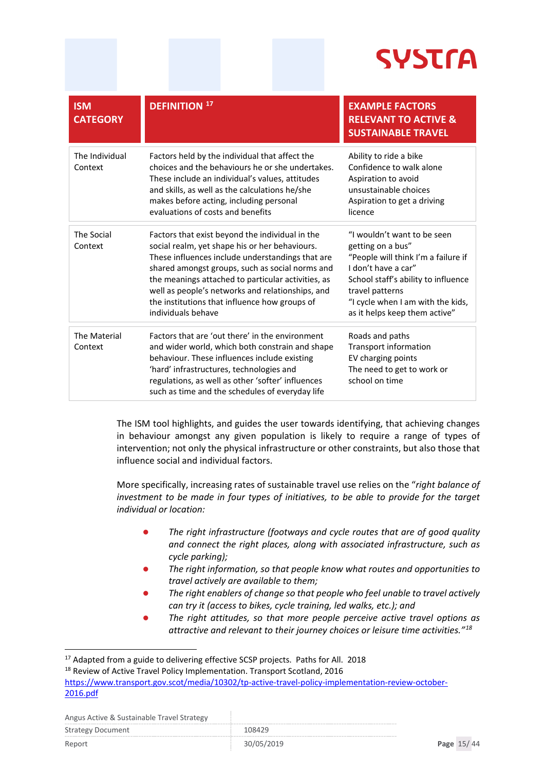# **SYSTra**

| <b>ISM</b><br><b>CATEGORY</b> | <b>DEFINITION 17</b>                                                                                                                                                                                                                                                                                                                                                                      | <b>EXAMPLE FACTORS</b><br><b>RELEVANT TO ACTIVE &amp;</b><br><b>SUSTAINABLE TRAVEL</b>                                                                                                                                                         |
|-------------------------------|-------------------------------------------------------------------------------------------------------------------------------------------------------------------------------------------------------------------------------------------------------------------------------------------------------------------------------------------------------------------------------------------|------------------------------------------------------------------------------------------------------------------------------------------------------------------------------------------------------------------------------------------------|
| The Individual<br>Context     | Factors held by the individual that affect the<br>choices and the behaviours he or she undertakes.<br>These include an individual's values, attitudes<br>and skills, as well as the calculations he/she<br>makes before acting, including personal<br>evaluations of costs and benefits                                                                                                   | Ability to ride a bike<br>Confidence to walk alone<br>Aspiration to avoid<br>unsustainable choices<br>Aspiration to get a driving<br>licence                                                                                                   |
| The Social<br>Context         | Factors that exist beyond the individual in the<br>social realm, yet shape his or her behaviours.<br>These influences include understandings that are<br>shared amongst groups, such as social norms and<br>the meanings attached to particular activities, as<br>well as people's networks and relationships, and<br>the institutions that influence how groups of<br>individuals behave | "I wouldn't want to be seen<br>getting on a bus"<br>"People will think I'm a failure if<br>I don't have a car"<br>School staff's ability to influence<br>travel patterns<br>"I cycle when I am with the kids,<br>as it helps keep them active" |
| The Material<br>Context       | Factors that are 'out there' in the environment<br>and wider world, which both constrain and shape<br>behaviour. These influences include existing<br>'hard' infrastructures, technologies and<br>regulations, as well as other 'softer' influences<br>such as time and the schedules of everyday life                                                                                    | Roads and paths<br><b>Transport information</b><br>EV charging points<br>The need to get to work or<br>school on time                                                                                                                          |

The ISM tool highlights, and guides the user towards identifying, that achieving changes in behaviour amongst any given population is likely to require a range of types of intervention; not only the physical infrastructure or other constraints, but also those that influence social and individual factors.

More specifically, increasing rates of sustainable travel use relies on the "*right balance of investment to be made in four types of initiatives, to be able to provide for the target individual or location:*

- *The right infrastructure (footways and cycle routes that are of good quality and connect the right places, along with associated infrastructure, such as cycle parking);*
- *The right information, so that people know what routes and opportunities to travel actively are available to them;*
- *The right enablers of change so that people who feel unable to travel actively can try it (access to bikes, cycle training, led walks, etc.); and*
- *The right attitudes, so that more people perceive active travel options as attractive and relevant to their journey choices or leisure time activities."[18](#page-14-1)*

| Aligus Active & Sustaliable Travel Strategy |            |            |  |
|---------------------------------------------|------------|------------|--|
| <b>Strategy Document</b>                    | 108429     |            |  |
| Report                                      | 30/05/2019 | Page 15/44 |  |

<span id="page-14-0"></span><sup>&</sup>lt;sup>17</sup> Adapted from a guide to delivering effective SCSP projects. Paths for All. 2018

<span id="page-14-1"></span><sup>&</sup>lt;sup>18</sup> Review of Active Travel Policy Implementation. Transport Scotland, 2016 [https://www.transport.gov.scot/media/10302/tp-active-travel-policy-implementation-review-october-](https://www.transport.gov.scot/media/10302/tp-active-travel-policy-implementation-review-october-2016.pdf)[2016.pdf](https://www.transport.gov.scot/media/10302/tp-active-travel-policy-implementation-review-october-2016.pdf)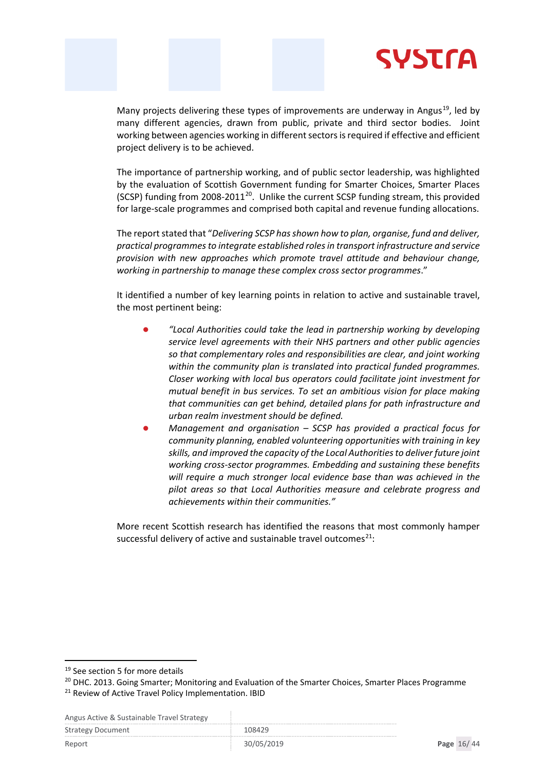

Many projects delivering these types of improvements are underway in Angus<sup>19</sup>, led by many different agencies, drawn from public, private and third sector bodies. Joint working between agencies working in different sectors is required if effective and efficient project delivery is to be achieved.

The importance of partnership working, and of public sector leadership, was highlighted by the evaluation of Scottish Government funding for Smarter Choices, Smarter Places (SCSP) funding from [20](#page-15-1)08-2011<sup>20</sup>. Unlike the current SCSP funding stream, this provided for large-scale programmes and comprised both capital and revenue funding allocations.

The report stated that "*Delivering SCSP has shown how to plan, organise, fund and deliver, practical programmes to integrate established roles in transport infrastructure and service provision with new approaches which promote travel attitude and behaviour change, working in partnership to manage these complex cross sector programmes*."

It identified a number of key learning points in relation to active and sustainable travel, the most pertinent being:

- *"Local Authorities could take the lead in partnership working by developing service level agreements with their NHS partners and other public agencies so that complementary roles and responsibilities are clear, and joint working within the community plan is translated into practical funded programmes. Closer working with local bus operators could facilitate joint investment for mutual benefit in bus services. To set an ambitious vision for place making that communities can get behind, detailed plans for path infrastructure and urban realm investment should be defined.*
- *Management and organisation – SCSP has provided a practical focus for community planning, enabled volunteering opportunities with training in key skills, and improved the capacity of the Local Authorities to deliver future joint working cross-sector programmes. Embedding and sustaining these benefits will require a much stronger local evidence base than was achieved in the pilot areas so that Local Authorities measure and celebrate progress and achievements within their communities."*

More recent Scottish research has identified the reasons that most commonly hamper successful delivery of active and sustainable travel outcomes $^{21}$ :

Angus Active & Sustainable Travel Strategy

| $\sim$                   |            |            |
|--------------------------|------------|------------|
| <b>Strategy Document</b> | 108429     |            |
| Report                   | 30/05/2019 | Page 16/44 |

<span id="page-15-0"></span><sup>&</sup>lt;sup>19</sup> See section 5 for more details

<span id="page-15-1"></span><sup>&</sup>lt;sup>20</sup> DHC. 2013. Going Smarter; Monitoring and Evaluation of the Smarter Choices, Smarter Places Programme

<span id="page-15-2"></span><sup>&</sup>lt;sup>21</sup> Review of Active Travel Policy Implementation. IBID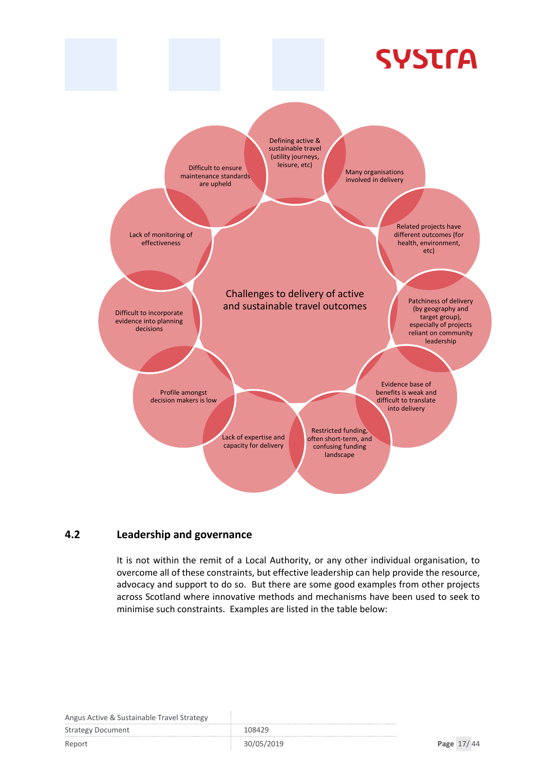

#### <span id="page-16-0"></span>**4.2 Leadership and governance**

It is not within the remit of a Local Authority, or any other individual organisation, to overcome all of these constraints, but effective leadership can help provide the resource, advocacy and support to do so. But there are some good examples from other projects across Scotland where innovative methods and mechanisms have been used to seek to minimise such constraints. Examples are listed in the table below:

| Angus Active & Sustainable Travel Strategy |        |
|--------------------------------------------|--------|
| <b>Strategy Document</b>                   | 108429 |
|                                            |        |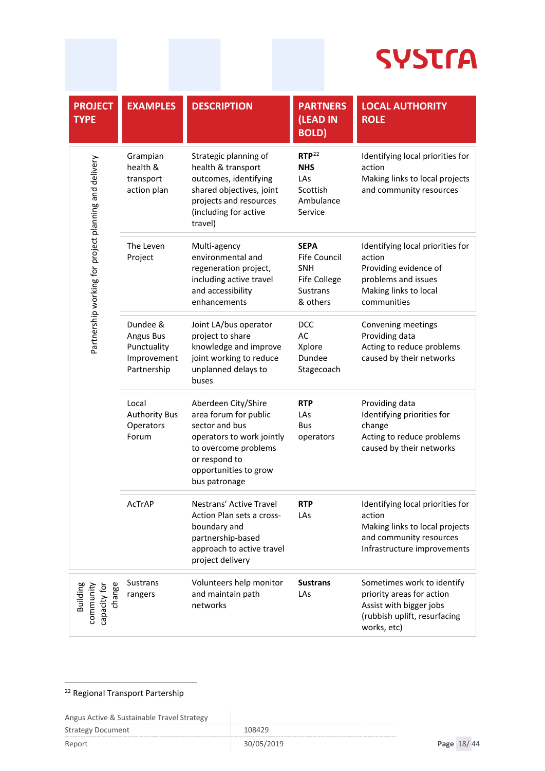| <b>PROJECT</b><br><b>TYPE</b>                         | <b>EXAMPLES</b>                                                           | <b>DESCRIPTION</b>                                                                                                                                                             | <b>PARTNERS</b><br>(LEAD IN<br><b>BOLD</b>                                                             | <b>LOCAL AUTHORITY</b><br><b>ROLE</b>                                                                                                  |
|-------------------------------------------------------|---------------------------------------------------------------------------|--------------------------------------------------------------------------------------------------------------------------------------------------------------------------------|--------------------------------------------------------------------------------------------------------|----------------------------------------------------------------------------------------------------------------------------------------|
| Partnership working for project planning and delivery | Grampian<br>health &<br>transport<br>action plan                          | Strategic planning of<br>health & transport<br>outcomes, identifying<br>shared objectives, joint<br>projects and resources<br>(including for active<br>travel)                 | RTP <sup>22</sup><br><b>NHS</b><br>LAs<br>Scottish<br>Ambulance<br>Service                             | Identifying local priorities for<br>action<br>Making links to local projects<br>and community resources                                |
|                                                       | The Leven<br>Project                                                      | Multi-agency<br>environmental and<br>regeneration project,<br>including active travel<br>and accessibility<br>enhancements                                                     | <b>SEPA</b><br><b>Fife Council</b><br><b>SNH</b><br><b>Fife College</b><br><b>Sustrans</b><br>& others | Identifying local priorities for<br>action<br>Providing evidence of<br>problems and issues<br>Making links to local<br>communities     |
|                                                       | Dundee &<br><b>Angus Bus</b><br>Punctuality<br>Improvement<br>Partnership | Joint LA/bus operator<br>project to share<br>knowledge and improve<br>joint working to reduce<br>unplanned delays to<br>buses                                                  | <b>DCC</b><br>AC<br>Xplore<br>Dundee<br>Stagecoach                                                     | Convening meetings<br>Providing data<br>Acting to reduce problems<br>caused by their networks                                          |
|                                                       | Local<br><b>Authority Bus</b><br>Operators<br>Forum                       | Aberdeen City/Shire<br>area forum for public<br>sector and bus<br>operators to work jointly<br>to overcome problems<br>or respond to<br>opportunities to grow<br>bus patronage | <b>RTP</b><br>LAs<br><b>Bus</b><br>operators                                                           | Providing data<br>Identifying priorities for<br>change<br>Acting to reduce problems<br>caused by their networks                        |
|                                                       | AcTrAP                                                                    | Nestrans' Active Travel<br>Action Plan sets a cross-<br>boundary and<br>partnership-based<br>approach to active travel<br>project delivery                                     | <b>RTP</b><br>LAs                                                                                      | Identifying local priorities for<br>action<br>Making links to local projects<br>and community resources<br>Infrastructure improvements |
| change<br>Building<br>community<br>capacity for       | <b>Sustrans</b><br>rangers                                                | Volunteers help monitor<br>and maintain path<br>networks                                                                                                                       | <b>Sustrans</b><br>LAs                                                                                 | Sometimes work to identify<br>priority areas for action<br>Assist with bigger jobs<br>(rubbish uplift, resurfacing<br>works, etc)      |

#### <span id="page-17-0"></span><sup>22</sup> Regional Transport Partership

| Angus Active & Sustainable Travel Strategy |            |            |  |
|--------------------------------------------|------------|------------|--|
| <b>Strategy Document</b>                   | 108429     |            |  |
| Report                                     | 30/05/2019 | Page 18/44 |  |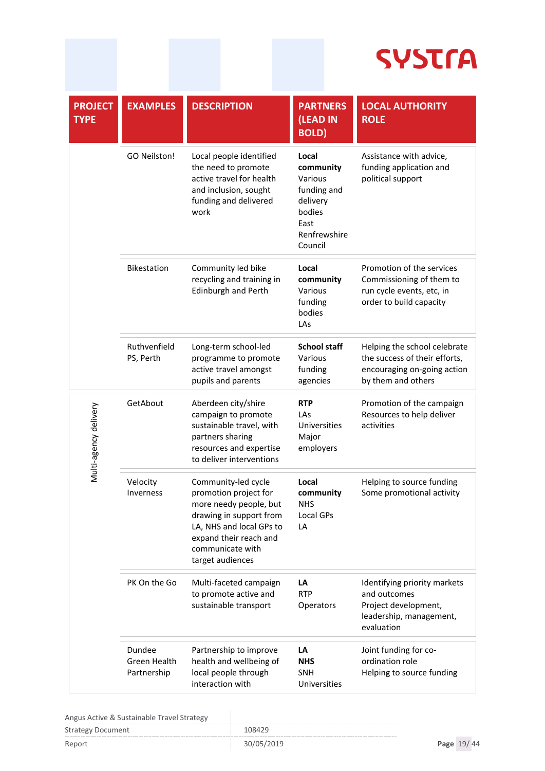| <b>PROJECT</b><br><b>TYPE</b>     | <b>EXAMPLES</b>                                                                                                                        | <b>DESCRIPTION</b>                                                                                                                                                                              | <b>PARTNERS</b><br>(LEAD IN<br><b>BOLD</b> )                                                          | <b>LOCAL AUTHORITY</b><br><b>ROLE</b>                                                                              |
|-----------------------------------|----------------------------------------------------------------------------------------------------------------------------------------|-------------------------------------------------------------------------------------------------------------------------------------------------------------------------------------------------|-------------------------------------------------------------------------------------------------------|--------------------------------------------------------------------------------------------------------------------|
|                                   | <b>GO Neilston!</b>                                                                                                                    | Local people identified<br>the need to promote<br>active travel for health<br>and inclusion, sought<br>funding and delivered<br>work                                                            | Local<br>community<br>Various<br>funding and<br>delivery<br>bodies<br>East<br>Renfrewshire<br>Council | Assistance with advice,<br>funding application and<br>political support                                            |
|                                   | <b>Bikestation</b>                                                                                                                     | Community led bike<br>recycling and training in<br><b>Edinburgh and Perth</b>                                                                                                                   | Local<br>community<br>Various<br>funding<br>bodies<br>LAs                                             | Promotion of the services<br>Commissioning of them to<br>run cycle events, etc, in<br>order to build capacity      |
|                                   | Ruthvenfield<br>PS, Perth                                                                                                              | Long-term school-led<br>programme to promote<br>active travel amongst<br>pupils and parents                                                                                                     | <b>School staff</b><br>Various<br>funding<br>agencies                                                 | Helping the school celebrate<br>the success of their efforts,<br>encouraging on-going action<br>by them and others |
| GetAbout<br>Multi-agency delivery |                                                                                                                                        | Aberdeen city/shire<br>campaign to promote<br>sustainable travel, with<br>partners sharing<br>resources and expertise<br>to deliver interventions                                               | <b>RTP</b><br>LAs<br>Universities<br>Major<br>employers                                               | Promotion of the campaign<br>Resources to help deliver<br>activities                                               |
|                                   | Velocity<br>Inverness                                                                                                                  | Community-led cycle<br>promotion project for<br>more needy people, but<br>drawing in support from<br>LA, NHS and local GPs to<br>expand their reach and<br>communicate with<br>target audiences | Local<br>community<br><b>NHS</b><br>Local GPs<br>LA                                                   | Helping to source funding<br>Some promotional activity                                                             |
| PK On the Go                      |                                                                                                                                        | Multi-faceted campaign<br>to promote active and<br>sustainable transport                                                                                                                        | LA<br><b>RTP</b><br>Operators                                                                         | Identifying priority markets<br>and outcomes<br>Project development,<br>leadership, management,<br>evaluation      |
|                                   | Dundee<br>Partnership to improve<br>Green Health<br>health and wellbeing of<br>local people through<br>Partnership<br>interaction with |                                                                                                                                                                                                 | LA<br><b>NHS</b><br><b>SNH</b><br>Universities                                                        | Joint funding for co-<br>ordination role<br>Helping to source funding                                              |

| Angus Active & Sustainable Travel Strategy |            |  |            |  |
|--------------------------------------------|------------|--|------------|--|
| <b>Strategy Document</b>                   | 108429     |  |            |  |
| Report                                     | 30/05/2019 |  | Page 19/44 |  |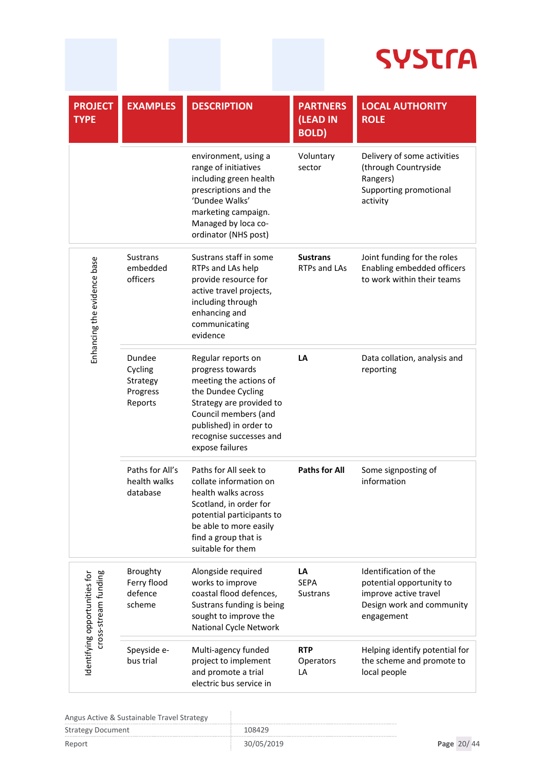| <b>PROJECT</b><br><b>TYPE</b>                        | <b>EXAMPLES</b>                                                                                                                                                                                                    | <b>DESCRIPTION</b>                                                                                                                                                                                   | <b>PARTNERS</b><br>(LEAD IN<br><b>BOLD</b> ) | <b>LOCAL AUTHORITY</b><br><b>ROLE</b>                                                                                 |
|------------------------------------------------------|--------------------------------------------------------------------------------------------------------------------------------------------------------------------------------------------------------------------|------------------------------------------------------------------------------------------------------------------------------------------------------------------------------------------------------|----------------------------------------------|-----------------------------------------------------------------------------------------------------------------------|
|                                                      |                                                                                                                                                                                                                    | environment, using a<br>range of initiatives<br>including green health<br>prescriptions and the<br>'Dundee Walks'<br>marketing campaign.<br>Managed by loca co-<br>ordinator (NHS post)              | Voluntary<br>sector                          | Delivery of some activities<br>(through Countryside<br>Rangers)<br>Supporting promotional<br>activity                 |
| Enhancing the evidence base                          | <b>Sustrans</b><br>embedded<br>officers                                                                                                                                                                            | Sustrans staff in some<br>RTPs and LAs help<br>provide resource for<br>active travel projects,<br>including through<br>enhancing and<br>communicating<br>evidence                                    | <b>Sustrans</b><br><b>RTPs and LAs</b>       | Joint funding for the roles<br>Enabling embedded officers<br>to work within their teams                               |
| Dundee<br>Cycling<br>Strategy<br>Progress<br>Reports | Regular reports on<br>progress towards<br>meeting the actions of<br>the Dundee Cycling<br>Strategy are provided to<br>Council members (and<br>published) in order to<br>recognise successes and<br>expose failures |                                                                                                                                                                                                      | LA                                           | Data collation, analysis and<br>reporting                                                                             |
| Paths for All's<br>health walks<br>database          |                                                                                                                                                                                                                    | Paths for All seek to<br>collate information on<br>health walks across<br>Scotland, in order for<br>potential participants to<br>be able to more easily<br>find a group that is<br>suitable for them | <b>Paths for All</b>                         | Some signposting of<br>information                                                                                    |
| cross-stream funding<br>dentifying opportunities for | Broughty<br>Ferry flood<br>defence<br>scheme                                                                                                                                                                       | Alongside required<br>works to improve<br>coastal flood defences,<br>Sustrans funding is being<br>sought to improve the<br>National Cycle Network                                                    | LA<br><b>SEPA</b><br><b>Sustrans</b>         | Identification of the<br>potential opportunity to<br>improve active travel<br>Design work and community<br>engagement |
|                                                      | Speyside e-<br>bus trial                                                                                                                                                                                           | Multi-agency funded<br>project to implement<br>and promote a trial<br>electric bus service in                                                                                                        | <b>RTP</b><br>Operators<br>LA                | Helping identify potential for<br>the scheme and promote to<br>local people                                           |

| Angus Active & Sustainable Travel Strategy |            |            |  |
|--------------------------------------------|------------|------------|--|
| Strategy Document                          | 108429     |            |  |
| Report                                     | 30/05/2019 | Page 20/44 |  |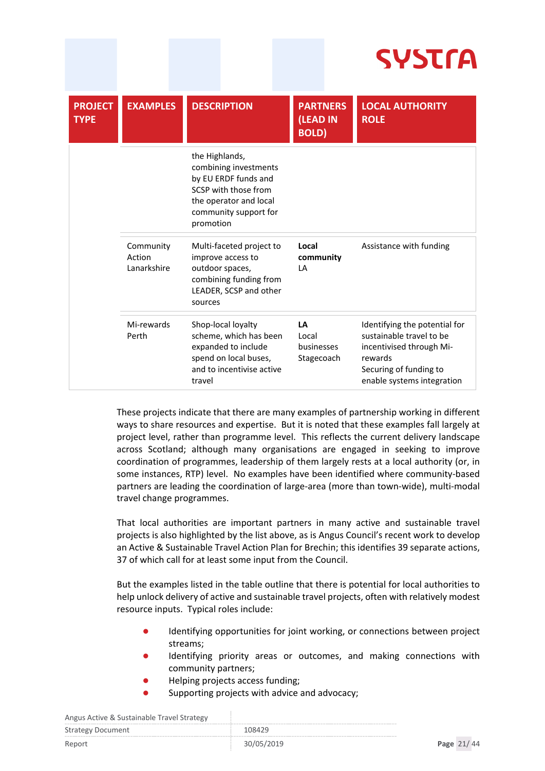# **SYSTra**

| <b>PROJECT</b><br><b>TYPE</b> | <b>EXAMPLES</b>                    | <b>DESCRIPTION</b>                                                                                                                                      | <b>PARTNERS</b><br>(LEAD IN<br><b>BOLD)</b> | <b>LOCAL AUTHORITY</b><br><b>ROLE</b>                                                                                                                    |
|-------------------------------|------------------------------------|---------------------------------------------------------------------------------------------------------------------------------------------------------|---------------------------------------------|----------------------------------------------------------------------------------------------------------------------------------------------------------|
|                               |                                    | the Highlands,<br>combining investments<br>by EU ERDF funds and<br>SCSP with those from<br>the operator and local<br>community support for<br>promotion |                                             |                                                                                                                                                          |
|                               | Community<br>Action<br>Lanarkshire | Multi-faceted project to<br>improve access to<br>outdoor spaces,<br>combining funding from<br>LEADER, SCSP and other<br>sources                         | Local<br>community<br>$\mathsf{I}$ A        | Assistance with funding                                                                                                                                  |
|                               | Mi-rewards<br>Perth                | Shop-local loyalty<br>scheme, which has been<br>expanded to include<br>spend on local buses,<br>and to incentivise active<br>travel                     | LA<br>Local<br>businesses<br>Stagecoach     | Identifying the potential for<br>sustainable travel to be<br>incentivised through Mi-<br>rewards<br>Securing of funding to<br>enable systems integration |

These projects indicate that there are many examples of partnership working in different ways to share resources and expertise. But it is noted that these examples fall largely at project level, rather than programme level. This reflects the current delivery landscape across Scotland; although many organisations are engaged in seeking to improve coordination of programmes, leadership of them largely rests at a local authority (or, in some instances, RTP) level. No examples have been identified where community-based partners are leading the coordination of large-area (more than town-wide), multi-modal travel change programmes.

That local authorities are important partners in many active and sustainable travel projects is also highlighted by the list above, as is Angus Council's recent work to develop an Active & Sustainable Travel Action Plan for Brechin; this identifies 39 separate actions, 37 of which call for at least some input from the Council.

But the examples listed in the table outline that there is potential for local authorities to help unlock delivery of active and sustainable travel projects, often with relatively modest resource inputs. Typical roles include:

- Identifying opportunities for joint working, or connections between project streams;
- Identifying priority areas or outcomes, and making connections with community partners;
- Helping projects access funding;
- Supporting projects with advice and advocacy;

| Aligus Active & Sustailable Travel Strategy |            |            |
|---------------------------------------------|------------|------------|
| <b>Strategy Document</b>                    | 108429     |            |
| Report                                      | 30/05/2019 | Page 21/44 |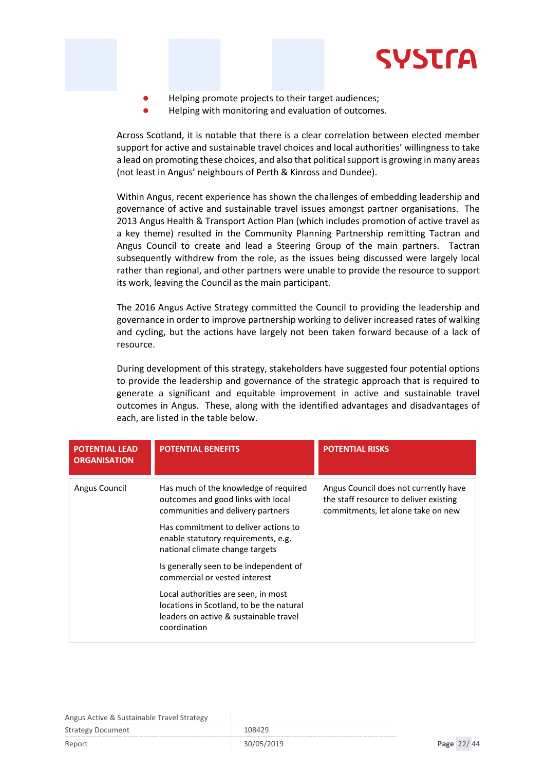

- Helping promote projects to their target audiences;
- Helping with monitoring and evaluation of outcomes.

Across Scotland, it is notable that there is a clear correlation between elected member support for active and sustainable travel choices and local authorities' willingness to take a lead on promoting these choices, and also that political support is growing in many areas (not least in Angus' neighbours of Perth & Kinross and Dundee).

Within Angus, recent experience has shown the challenges of embedding leadership and governance of active and sustainable travel issues amongst partner organisations. The 2013 Angus Health & Transport Action Plan (which includes promotion of active travel as a key theme) resulted in the Community Planning Partnership remitting Tactran and Angus Council to create and lead a Steering Group of the main partners. Tactran subsequently withdrew from the role, as the issues being discussed were largely local rather than regional, and other partners were unable to provide the resource to support its work, leaving the Council as the main participant.

The 2016 Angus Active Strategy committed the Council to providing the leadership and governance in order to improve partnership working to deliver increased rates of walking and cycling, but the actions have largely not been taken forward because of a lack of resource.

During development of this strategy, stakeholders have suggested four potential options to provide the leadership and governance of the strategic approach that is required to generate a significant and equitable improvement in active and sustainable travel outcomes in Angus. These, along with the identified advantages and disadvantages of each, are listed in the table below.

| <b>POTENTIAL LEAD</b><br><b>ORGANISATION</b> | <b>POTENTIAL BENEFITS</b>                                                                                                                 | <b>POTENTIAL RISKS</b>                                                                                                |
|----------------------------------------------|-------------------------------------------------------------------------------------------------------------------------------------------|-----------------------------------------------------------------------------------------------------------------------|
| Angus Council                                | Has much of the knowledge of required<br>outcomes and good links with local<br>communities and delivery partners                          | Angus Council does not currently have<br>the staff resource to deliver existing<br>commitments, let alone take on new |
|                                              | Has commitment to deliver actions to<br>enable statutory requirements, e.g.<br>national climate change targets                            |                                                                                                                       |
|                                              | Is generally seen to be independent of<br>commercial or vested interest                                                                   |                                                                                                                       |
|                                              | Local authorities are seen, in most<br>locations in Scotland, to be the natural<br>leaders on active & sustainable travel<br>coordination |                                                                                                                       |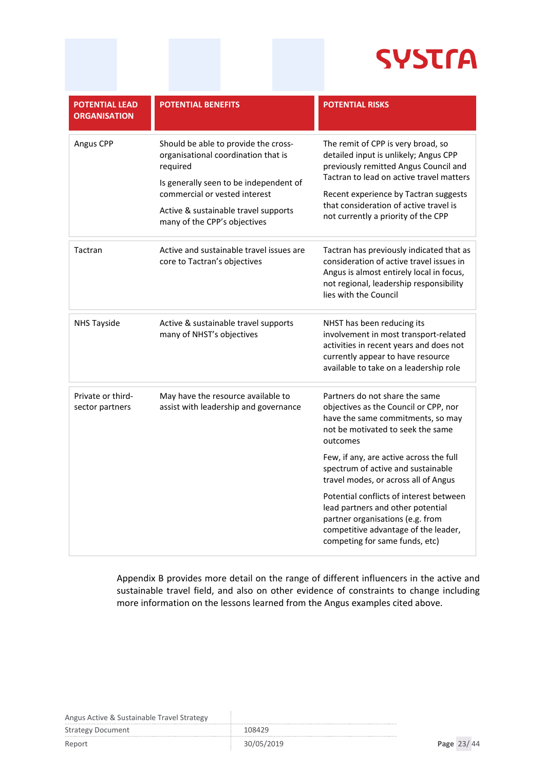

| <b>POTENTIAL LEAD</b><br><b>ORGANISATION</b> | <b>POTENTIAL BENEFITS</b>                                                                                                                                                                                                                  | <b>POTENTIAL RISKS</b>                                                                                                                                                                                                                                                                     |
|----------------------------------------------|--------------------------------------------------------------------------------------------------------------------------------------------------------------------------------------------------------------------------------------------|--------------------------------------------------------------------------------------------------------------------------------------------------------------------------------------------------------------------------------------------------------------------------------------------|
| Angus CPP                                    | Should be able to provide the cross-<br>organisational coordination that is<br>required<br>Is generally seen to be independent of<br>commercial or vested interest<br>Active & sustainable travel supports<br>many of the CPP's objectives | The remit of CPP is very broad, so<br>detailed input is unlikely; Angus CPP<br>previously remitted Angus Council and<br>Tactran to lead on active travel matters<br>Recent experience by Tactran suggests<br>that consideration of active travel is<br>not currently a priority of the CPP |
| Tactran                                      | Active and sustainable travel issues are<br>core to Tactran's objectives                                                                                                                                                                   | Tactran has previously indicated that as<br>consideration of active travel issues in<br>Angus is almost entirely local in focus,<br>not regional, leadership responsibility<br>lies with the Council                                                                                       |
| <b>NHS Tayside</b>                           | Active & sustainable travel supports<br>many of NHST's objectives                                                                                                                                                                          | NHST has been reducing its<br>involvement in most transport-related<br>activities in recent years and does not<br>currently appear to have resource<br>available to take on a leadership role                                                                                              |
| Private or third-<br>sector partners         | May have the resource available to<br>assist with leadership and governance                                                                                                                                                                | Partners do not share the same<br>objectives as the Council or CPP, nor<br>have the same commitments, so may<br>not be motivated to seek the same<br>outcomes                                                                                                                              |
|                                              |                                                                                                                                                                                                                                            | Few, if any, are active across the full<br>spectrum of active and sustainable<br>travel modes, or across all of Angus                                                                                                                                                                      |
|                                              |                                                                                                                                                                                                                                            | Potential conflicts of interest between<br>lead partners and other potential<br>partner organisations (e.g. from<br>competitive advantage of the leader,<br>competing for same funds, etc)                                                                                                 |

Appendix B provides more detail on the range of different influencers in the active and sustainable travel field, and also on other evidence of constraints to change including more information on the lessons learned from the Angus examples cited above.

Angus Active & Sustainable Travel Strategy

| $\frac{1}{1000}$         |       |  |
|--------------------------|-------|--|
| <b>Strategy Document</b> | 08429 |  |
|                          |       |  |

÷,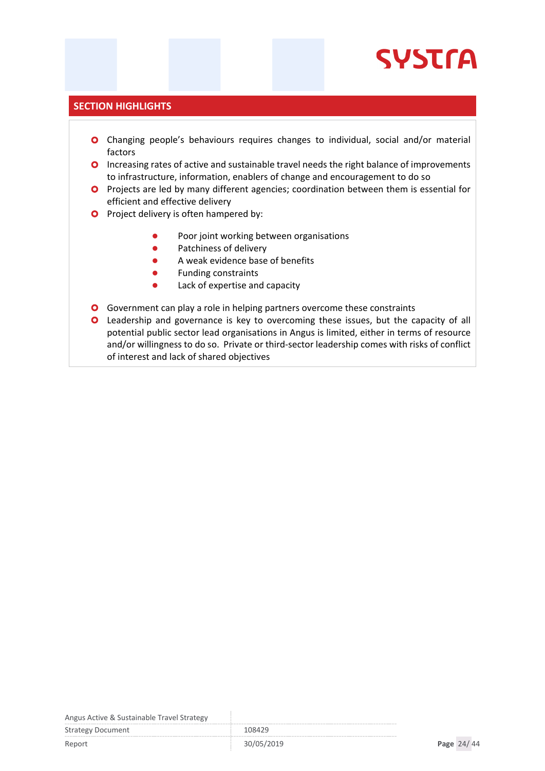# **SYSTrA**

#### **SECTION HIGHLIGHTS**

- Changing people's behaviours requires changes to individual, social and/or material factors
- **O** Increasing rates of active and sustainable travel needs the right balance of improvements to infrastructure, information, enablers of change and encouragement to do so
- **O** Projects are led by many different agencies; coordination between them is essential for efficient and effective delivery
- **O** Project delivery is often hampered by:
	- Poor joint working between organisations
	- Patchiness of delivery
	- A weak evidence base of benefits
	- **•** Funding constraints
	- Lack of expertise and capacity
- **O** Government can play a role in helping partners overcome these constraints
- Leadership and governance is key to overcoming these issues, but the capacity of all potential public sector lead organisations in Angus is limited, either in terms of resource and/or willingness to do so. Private or third-sector leadership comes with risks of conflict of interest and lack of shared objectives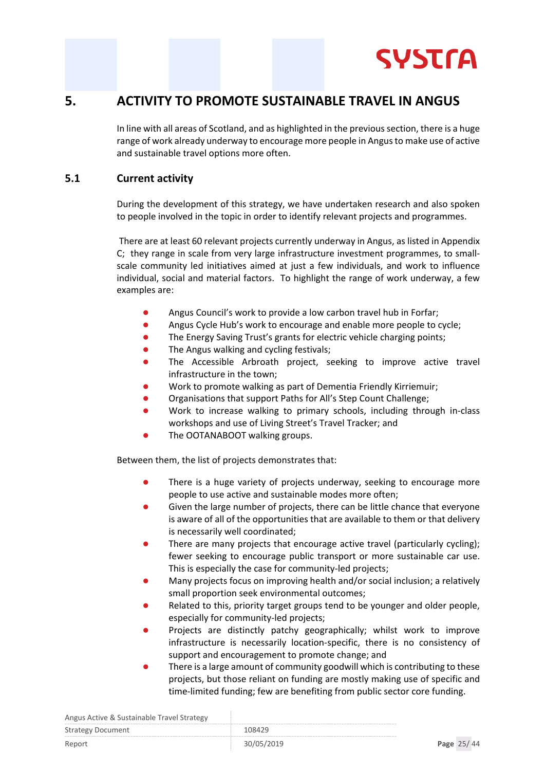

### <span id="page-24-0"></span>**5. ACTIVITY TO PROMOTE SUSTAINABLE TRAVEL IN ANGUS**

In line with all areas of Scotland, and as highlighted in the previous section, there is a huge range of work already underway to encourage more people in Angus to make use of active and sustainable travel options more often.

#### <span id="page-24-1"></span>**5.1 Current activity**

During the development of this strategy, we have undertaken research and also spoken to people involved in the topic in order to identify relevant projects and programmes.

There are at least 60 relevant projects currently underway in Angus, as listed in Appendix C; they range in scale from very large infrastructure investment programmes, to smallscale community led initiatives aimed at just a few individuals, and work to influence individual, social and material factors. To highlight the range of work underway, a few examples are:

- **•** Angus Council's work to provide a low carbon travel hub in Forfar;
- **Angus Cycle Hub's work to encourage and enable more people to cycle;**
- The Energy Saving Trust's grants for electric vehicle charging points;
- The Angus walking and cycling festivals;
- The Accessible Arbroath project, seeking to improve active travel infrastructure in the town;
- Work to promote walking as part of Dementia Friendly Kirriemuir;
- Organisations that support Paths for All's Step Count Challenge;
- Work to increase walking to primary schools, including through in-class workshops and use of Living Street's Travel Tracker; and
- The OOTANABOOT walking groups.

Between them, the list of projects demonstrates that:

- There is a huge variety of projects underway, seeking to encourage more people to use active and sustainable modes more often;
- Given the large number of projects, there can be little chance that everyone is aware of all of the opportunities that are available to them or that delivery is necessarily well coordinated;
- There are many projects that encourage active travel (particularly cycling); fewer seeking to encourage public transport or more sustainable car use. This is especially the case for community-led projects;
- Many projects focus on improving health and/or social inclusion; a relatively small proportion seek environmental outcomes;
- Related to this, priority target groups tend to be younger and older people, especially for community-led projects;
- Projects are distinctly patchy geographically; whilst work to improve infrastructure is necessarily location-specific, there is no consistency of support and encouragement to promote change; and
- There is a large amount of community goodwill which is contributing to these projects, but those reliant on funding are mostly making use of specific and time-limited funding; few are benefiting from public sector core funding.

| Angus Active & Sustainable Travel Strategy |  |  |  |  |
|--------------------------------------------|--|--|--|--|
|--------------------------------------------|--|--|--|--|

| This as Then to a sustainable that chothat shi |            |            |
|------------------------------------------------|------------|------------|
| <b>Strategy Document</b>                       | 108429     |            |
| Report                                         | 30/05/2019 | Page 25/44 |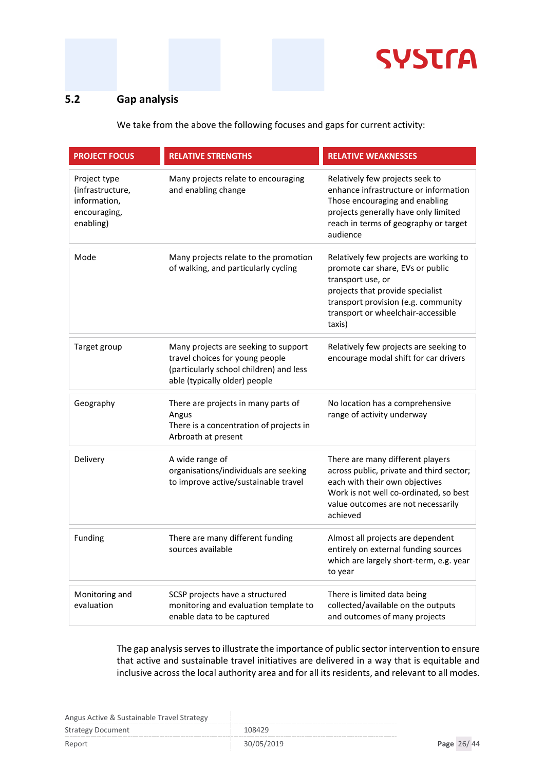

### <span id="page-25-0"></span>**5.2 Gap analysis**

We take from the above the following focuses and gaps for current activity:

| <b>PROJECT FOCUS</b>                                                          | <b>RELATIVE STRENGTHS</b>                                                                                                                           | <b>RELATIVE WEAKNESSES</b>                                                                                                                                                                                                 |
|-------------------------------------------------------------------------------|-----------------------------------------------------------------------------------------------------------------------------------------------------|----------------------------------------------------------------------------------------------------------------------------------------------------------------------------------------------------------------------------|
| Project type<br>(infrastructure,<br>information,<br>encouraging,<br>enabling) | Many projects relate to encouraging<br>and enabling change                                                                                          | Relatively few projects seek to<br>enhance infrastructure or information<br>Those encouraging and enabling<br>projects generally have only limited<br>reach in terms of geography or target<br>audience                    |
| Mode                                                                          | Many projects relate to the promotion<br>of walking, and particularly cycling                                                                       | Relatively few projects are working to<br>promote car share, EVs or public<br>transport use, or<br>projects that provide specialist<br>transport provision (e.g. community<br>transport or wheelchair-accessible<br>taxis) |
| Target group                                                                  | Many projects are seeking to support<br>travel choices for young people<br>(particularly school children) and less<br>able (typically older) people | Relatively few projects are seeking to<br>encourage modal shift for car drivers                                                                                                                                            |
| Geography                                                                     | There are projects in many parts of<br>Angus<br>There is a concentration of projects in<br>Arbroath at present                                      | No location has a comprehensive<br>range of activity underway                                                                                                                                                              |
| Delivery                                                                      | A wide range of<br>organisations/individuals are seeking<br>to improve active/sustainable travel                                                    | There are many different players<br>across public, private and third sector;<br>each with their own objectives<br>Work is not well co-ordinated, so best<br>value outcomes are not necessarily<br>achieved                 |
| Funding                                                                       | There are many different funding<br>sources available                                                                                               | Almost all projects are dependent<br>entirely on external funding sources<br>which are largely short-term, e.g. year<br>to year                                                                                            |
| Monitoring and<br>evaluation                                                  | SCSP projects have a structured<br>monitoring and evaluation template to<br>enable data to be captured                                              | There is limited data being<br>collected/available on the outputs<br>and outcomes of many projects                                                                                                                         |

The gap analysis serves to illustrate the importance of public sector intervention to ensure that active and sustainable travel initiatives are delivered in a way that is equitable and inclusive across the local authority area and for all its residents, and relevant to all modes.

Angus Active & Sustainable Travel Strategy

| $\frac{1}{1000}$         |            |            |  |
|--------------------------|------------|------------|--|
| <b>Strategy Document</b> | 108429     |            |  |
| Report                   | 30/05/2019 | Page 26/44 |  |

d,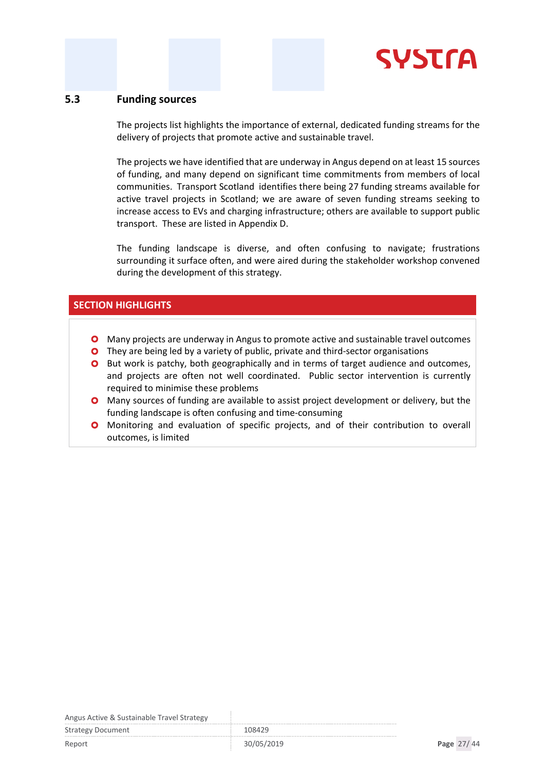

#### <span id="page-26-0"></span>**5.3 Funding sources**

The projects list highlights the importance of external, dedicated funding streams for the delivery of projects that promote active and sustainable travel.

The projects we have identified that are underway in Angus depend on at least 15 sources of funding, and many depend on significant time commitments from members of local communities. Transport Scotland identifies there being 27 funding streams available for active travel projects in Scotland; we are aware of seven funding streams seeking to increase access to EVs and charging infrastructure; others are available to support public transport. These are listed in Appendix D.

The funding landscape is diverse, and often confusing to navigate; frustrations surrounding it surface often, and were aired during the stakeholder workshop convened during the development of this strategy.

#### **SECTION HIGHLIGHTS**

- Many projects are underway in Angus to promote active and sustainable travel outcomes
- **O** They are being led by a variety of public, private and third-sector organisations
- **O** But work is patchy, both geographically and in terms of target audience and outcomes, and projects are often not well coordinated. Public sector intervention is currently required to minimise these problems
- Many sources of funding are available to assist project development or delivery, but the funding landscape is often confusing and time-consuming
- **O** Monitoring and evaluation of specific projects, and of their contribution to overall outcomes, is limited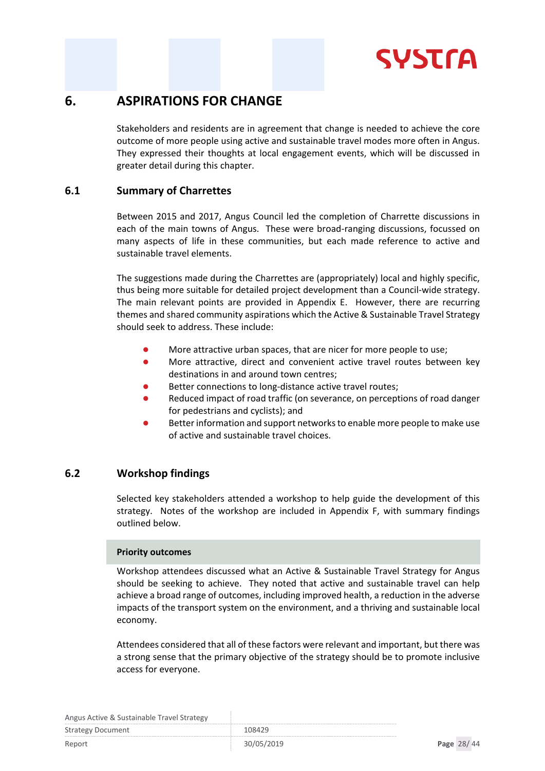# **SYSTra**

### <span id="page-27-0"></span>**6. ASPIRATIONS FOR CHANGE**

Stakeholders and residents are in agreement that change is needed to achieve the core outcome of more people using active and sustainable travel modes more often in Angus. They expressed their thoughts at local engagement events, which will be discussed in greater detail during this chapter.

#### <span id="page-27-1"></span>**6.1 Summary of Charrettes**

Between 2015 and 2017, Angus Council led the completion of Charrette discussions in each of the main towns of Angus. These were broad-ranging discussions, focussed on many aspects of life in these communities, but each made reference to active and sustainable travel elements.

The suggestions made during the Charrettes are (appropriately) local and highly specific, thus being more suitable for detailed project development than a Council-wide strategy. The main relevant points are provided in Appendix E. However, there are recurring themes and shared community aspirations which the Active & Sustainable Travel Strategy should seek to address. These include:

- More attractive urban spaces, that are nicer for more people to use;
- More attractive, direct and convenient active travel routes between key destinations in and around town centres;
- Better connections to long-distance active travel routes;
- Reduced impact of road traffic (on severance, on perceptions of road danger for pedestrians and cyclists); and
- Better information and support networks to enable more people to make use of active and sustainable travel choices.

#### <span id="page-27-2"></span>**6.2 Workshop findings**

Selected key stakeholders attended a workshop to help guide the development of this strategy. Notes of the workshop are included in Appendix F, with summary findings outlined below.

#### **Priority outcomes**

Workshop attendees discussed what an Active & Sustainable Travel Strategy for Angus should be seeking to achieve. They noted that active and sustainable travel can help achieve a broad range of outcomes, including improved health, a reduction in the adverse impacts of the transport system on the environment, and a thriving and sustainable local economy.

Attendees considered that all of these factors were relevant and important, but there was a strong sense that the primary objective of the strategy should be to promote inclusive access for everyone.

| $\frac{1}{1000}$ . The contract of the contract of the contract $\frac{1}{1000}$ |            |            |  |
|----------------------------------------------------------------------------------|------------|------------|--|
| Strategy Document                                                                | 108429     |            |  |
| Report                                                                           | 30/05/2019 | Page 28/44 |  |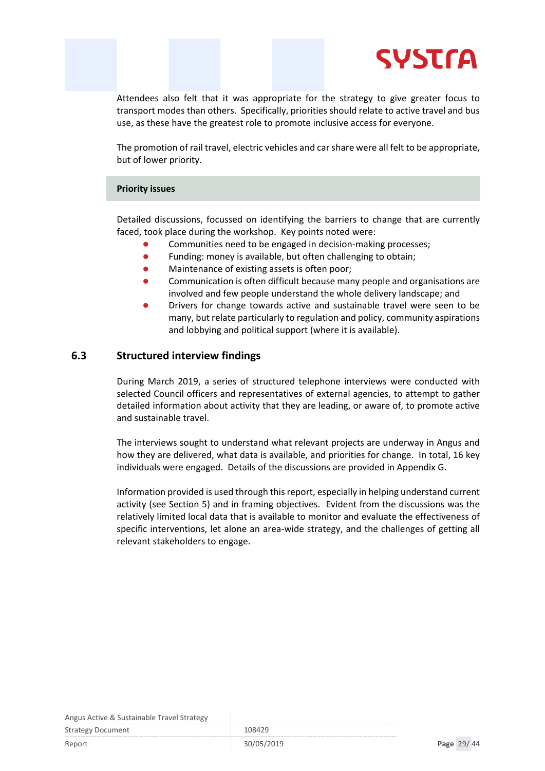

Attendees also felt that it was appropriate for the strategy to give greater focus to transport modes than others. Specifically, priorities should relate to active travel and bus use, as these have the greatest role to promote inclusive access for everyone.

The promotion of rail travel, electric vehicles and car share were all felt to be appropriate, but of lower priority.

#### **Priority issues**

Detailed discussions, focussed on identifying the barriers to change that are currently faced, took place during the workshop. Key points noted were:

- Communities need to be engaged in decision-making processes;
- **•** Funding: money is available, but often challenging to obtain:
- Maintenance of existing assets is often poor;
- Communication is often difficult because many people and organisations are involved and few people understand the whole delivery landscape; and
- Drivers for change towards active and sustainable travel were seen to be many, but relate particularly to regulation and policy, community aspirations and lobbying and political support (where it is available).

#### <span id="page-28-0"></span>**6.3 Structured interview findings**

During March 2019, a series of structured telephone interviews were conducted with selected Council officers and representatives of external agencies, to attempt to gather detailed information about activity that they are leading, or aware of, to promote active and sustainable travel.

The interviews sought to understand what relevant projects are underway in Angus and how they are delivered, what data is available, and priorities for change. In total, 16 key individuals were engaged. Details of the discussions are provided in Appendix G.

Information provided is used through this report, especially in helping understand current activity (see Section 5) and in framing objectives. Evident from the discussions was the relatively limited local data that is available to monitor and evaluate the effectiveness of specific interventions, let alone an area-wide strategy, and the challenges of getting all relevant stakeholders to engage.

| Strategy Document | 108429 |
|-------------------|--------|
|                   |        |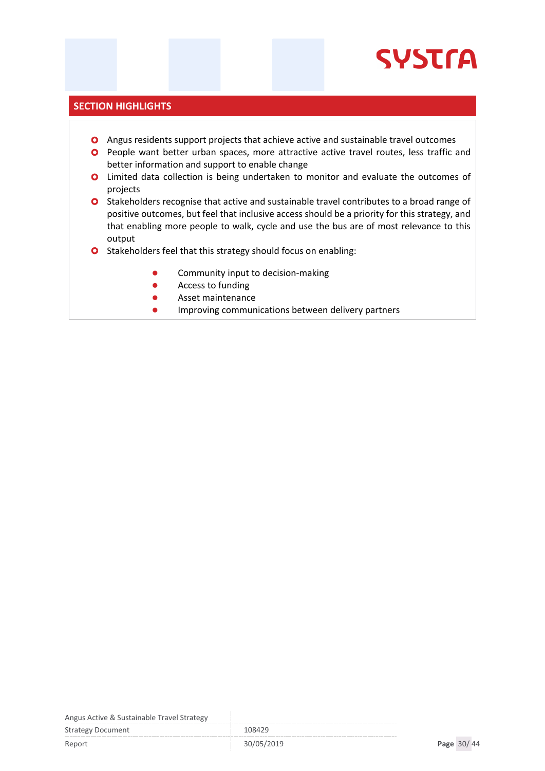# **SYSTrA**

#### **SECTION HIGHLIGHTS**

- Angus residents support projects that achieve active and sustainable travel outcomes
- **O** People want better urban spaces, more attractive active travel routes, less traffic and better information and support to enable change
- **O** Limited data collection is being undertaken to monitor and evaluate the outcomes of projects
- **O** Stakeholders recognise that active and sustainable travel contributes to a broad range of positive outcomes, but feel that inclusive access should be a priority for this strategy, and that enabling more people to walk, cycle and use the bus are of most relevance to this output
- O Stakeholders feel that this strategy should focus on enabling:
	- **•** Community input to decision-making
	- **Access to funding**
	- **Asset maintenance**
	- **•** Improving communications between delivery partners

Angus Active & Sustainable Travel Strategy

Strategy Document 108429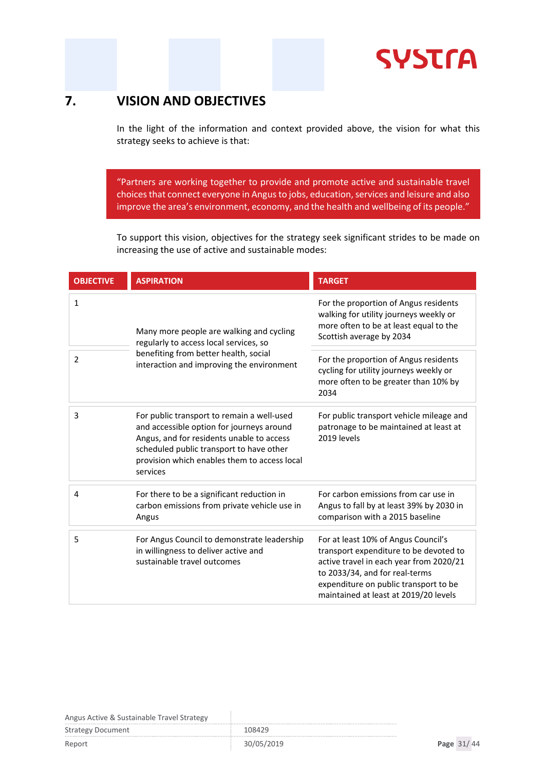**SYSTrA** 

### <span id="page-30-0"></span>**7. VISION AND OBJECTIVES**

In the light of the information and context provided above, the vision for what this strategy seeks to achieve is that:

"Partners are working together to provide and promote active and sustainable travel choices that connect everyone in Angus to jobs, education, services and leisure and also improve the area's environment, economy, and the health and wellbeing of its people."

To support this vision, objectives for the strategy seek significant strides to be made on increasing the use of active and sustainable modes:

| <b>OBJECTIVE</b> | <b>ASPIRATION</b>                                                                                                                                                                                                                            | <b>TARGET</b>                                                                                                                                                                                                                                |  |
|------------------|----------------------------------------------------------------------------------------------------------------------------------------------------------------------------------------------------------------------------------------------|----------------------------------------------------------------------------------------------------------------------------------------------------------------------------------------------------------------------------------------------|--|
| $\mathbf{1}$     | Many more people are walking and cycling<br>regularly to access local services, so                                                                                                                                                           | For the proportion of Angus residents<br>walking for utility journeys weekly or<br>more often to be at least equal to the<br>Scottish average by 2034                                                                                        |  |
| 2                | benefiting from better health, social<br>interaction and improving the environment                                                                                                                                                           | For the proportion of Angus residents<br>cycling for utility journeys weekly or<br>more often to be greater than 10% by<br>2034                                                                                                              |  |
| 3                | For public transport to remain a well-used<br>and accessible option for journeys around<br>Angus, and for residents unable to access<br>scheduled public transport to have other<br>provision which enables them to access local<br>services | For public transport vehicle mileage and<br>patronage to be maintained at least at<br>2019 levels                                                                                                                                            |  |
| 4                | For there to be a significant reduction in<br>carbon emissions from private vehicle use in<br>Angus                                                                                                                                          | For carbon emissions from car use in<br>Angus to fall by at least 39% by 2030 in<br>comparison with a 2015 baseline                                                                                                                          |  |
| 5                | For Angus Council to demonstrate leadership<br>in willingness to deliver active and<br>sustainable travel outcomes                                                                                                                           | For at least 10% of Angus Council's<br>transport expenditure to be devoted to<br>active travel in each year from 2020/21<br>to 2033/34, and for real-terms<br>expenditure on public transport to be<br>maintained at least at 2019/20 levels |  |

| .                        |            |            |
|--------------------------|------------|------------|
| <b>Strategy Document</b> | 108429     |            |
| Report                   | 30/05/2019 | Page 31/44 |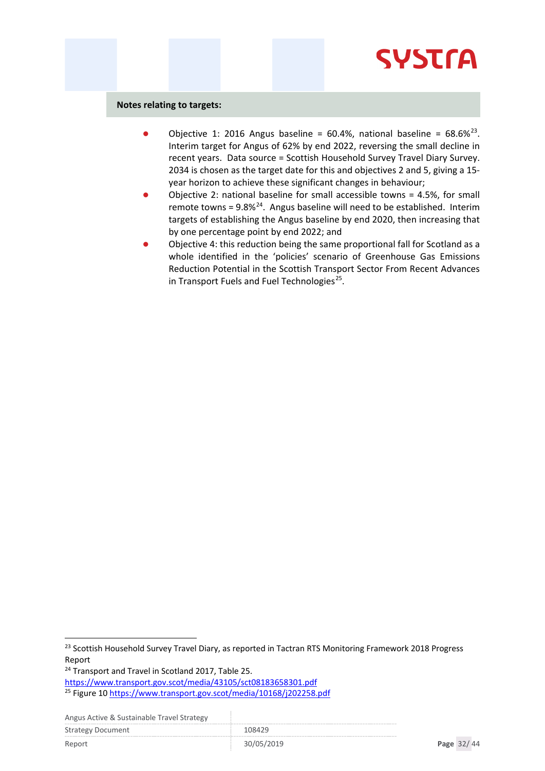# **SYSTra**

#### **Notes relating to targets:**

- Objective 1: 2016 Angus baseline = 60.4%, national baseline =  $68.6\%^{23}$ . Interim target for Angus of 62% by end 2022, reversing the small decline in recent years. Data source = Scottish Household Survey Travel Diary Survey. 2034 is chosen as the target date for this and objectives 2 and 5, giving a 15 year horizon to achieve these significant changes in behaviour;
- Objective 2: national baseline for small accessible towns = 4.5%, for small remote towns = 9.8%[24](#page-31-1). Angus baseline will need to be established. Interim targets of establishing the Angus baseline by end 2020, then increasing that by one percentage point by end 2022; and
- Objective 4: this reduction being the same proportional fall for Scotland as a whole identified in the 'policies' scenario of Greenhouse Gas Emissions Reduction Potential in the Scottish Transport Sector From Recent Advances in Transport Fuels and Fuel Technologies $^{25}$ .

<https://www.transport.gov.scot/media/43105/sct08183658301.pdf>

<span id="page-31-0"></span><sup>&</sup>lt;sup>23</sup> Scottish Household Survey Travel Diary, as reported in Tactran RTS Monitoring Framework 2018 Progress Report

<span id="page-31-1"></span><sup>&</sup>lt;sup>24</sup> Transport and Travel in Scotland 2017, Table 25.

<span id="page-31-2"></span><sup>25</sup> Figure 1[0 https://www.transport.gov.scot/media/10168/j202258.pdf](https://www.transport.gov.scot/media/10168/j202258.pdf)

Angus Active & Sustainable Travel Strategy

Strategy Document 108429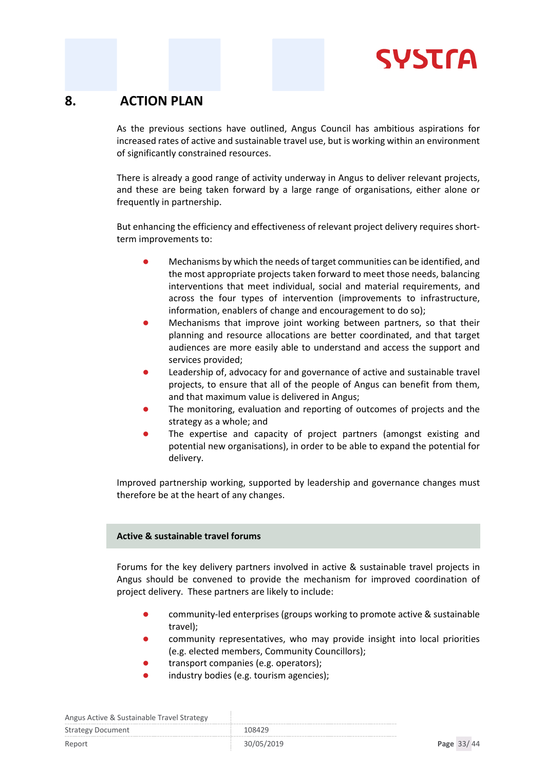

### <span id="page-32-0"></span>**8. ACTION PLAN**

As the previous sections have outlined, Angus Council has ambitious aspirations for increased rates of active and sustainable travel use, but is working within an environment of significantly constrained resources.

There is already a good range of activity underway in Angus to deliver relevant projects, and these are being taken forward by a large range of organisations, either alone or frequently in partnership.

But enhancing the efficiency and effectiveness of relevant project delivery requires shortterm improvements to:

- Mechanisms by which the needs of target communities can be identified, and the most appropriate projects taken forward to meet those needs, balancing interventions that meet individual, social and material requirements, and across the four types of intervention (improvements to infrastructure, information, enablers of change and encouragement to do so);
- Mechanisms that improve joint working between partners, so that their planning and resource allocations are better coordinated, and that target audiences are more easily able to understand and access the support and services provided;
- Leadership of, advocacy for and governance of active and sustainable travel projects, to ensure that all of the people of Angus can benefit from them, and that maximum value is delivered in Angus;
- The monitoring, evaluation and reporting of outcomes of projects and the strategy as a whole; and
- The expertise and capacity of project partners (amongst existing and potential new organisations), in order to be able to expand the potential for delivery.

Improved partnership working, supported by leadership and governance changes must therefore be at the heart of any changes.

#### **Active & sustainable travel forums**

Forums for the key delivery partners involved in active & sustainable travel projects in Angus should be convened to provide the mechanism for improved coordination of project delivery. These partners are likely to include:

- community-led enterprises (groups working to promote active & sustainable travel);
- community representatives, who may provide insight into local priorities (e.g. elected members, Community Councillors);
- transport companies (e.g. operators);
- industry bodies (e.g. tourism agencies);

| Angus Active & Sustainable Travel Strategy |            |            |
|--------------------------------------------|------------|------------|
| <b>Strategy Document</b>                   | 108429     |            |
| Report                                     | 30/05/2019 | Page 33/44 |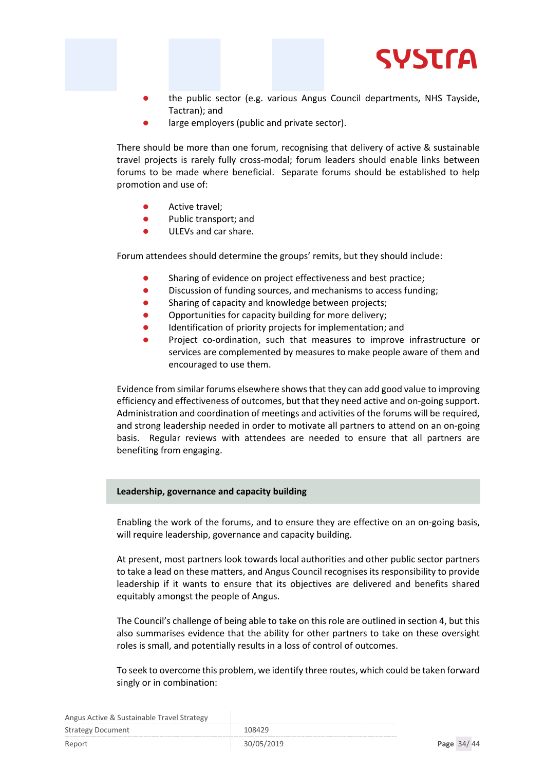

- the public sector (e.g. various Angus Council departments, NHS Tayside, Tactran); and
- large employers (public and private sector).

There should be more than one forum, recognising that delivery of active & sustainable travel projects is rarely fully cross-modal; forum leaders should enable links between forums to be made where beneficial. Separate forums should be established to help promotion and use of:

- Active travel;
- Public transport; and
- ULEVs and car share.

Forum attendees should determine the groups' remits, but they should include:

- Sharing of evidence on project effectiveness and best practice;
- Discussion of funding sources, and mechanisms to access funding;
- Sharing of capacity and knowledge between projects;
- Opportunities for capacity building for more delivery;
- Identification of priority projects for implementation; and
- Project co-ordination, such that measures to improve infrastructure or services are complemented by measures to make people aware of them and encouraged to use them.

Evidence from similar forums elsewhere shows that they can add good value to improving efficiency and effectiveness of outcomes, but that they need active and on-going support. Administration and coordination of meetings and activities of the forums will be required, and strong leadership needed in order to motivate all partners to attend on an on-going basis. Regular reviews with attendees are needed to ensure that all partners are benefiting from engaging.

#### **Leadership, governance and capacity building**

Enabling the work of the forums, and to ensure they are effective on an on-going basis, will require leadership, governance and capacity building.

At present, most partners look towards local authorities and other public sector partners to take a lead on these matters, and Angus Council recognises its responsibility to provide leadership if it wants to ensure that its objectives are delivered and benefits shared equitably amongst the people of Angus.

The Council's challenge of being able to take on this role are outlined in section 4, but this also summarises evidence that the ability for other partners to take on these oversight roles is small, and potentially results in a loss of control of outcomes.

To seek to overcome this problem, we identify three routes, which could be taken forward singly or in combination:

| Angus Active & Sustainable Travel Strategy |            |            |  |
|--------------------------------------------|------------|------------|--|
| Strategy Document                          | 108429     |            |  |
| Report                                     | 30/05/2019 | Page 34/44 |  |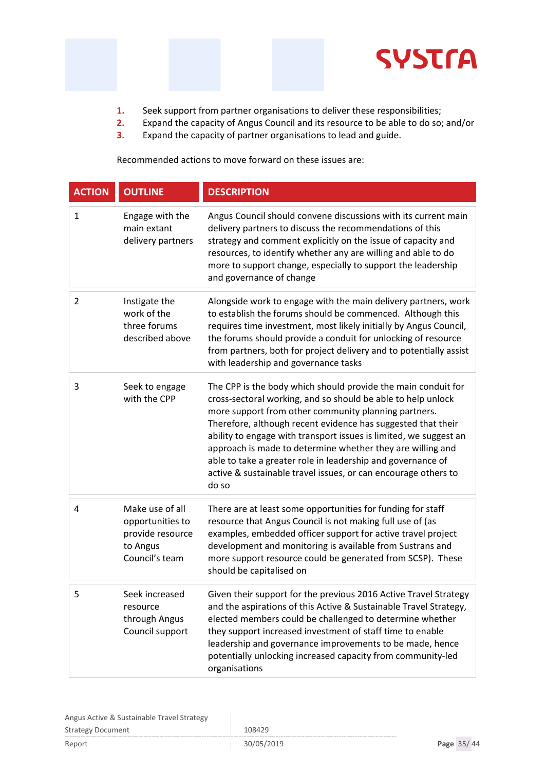

- **1.** Seek support from partner organisations to deliver these responsibilities;
- **2.** Expand the capacity of Angus Council and its resource to be able to do so; and/or
- **3.** Expand the capacity of partner organisations to lead and guide.

Recommended actions to move forward on these issues are:

| <b>ACTION</b>  | <b>OUTLINE</b>                                                                        | <b>DESCRIPTION</b>                                                                                                                                                                                                                                                                                                                                                                                                                                                                                                                 |
|----------------|---------------------------------------------------------------------------------------|------------------------------------------------------------------------------------------------------------------------------------------------------------------------------------------------------------------------------------------------------------------------------------------------------------------------------------------------------------------------------------------------------------------------------------------------------------------------------------------------------------------------------------|
| 1              | Engage with the<br>main extant<br>delivery partners                                   | Angus Council should convene discussions with its current main<br>delivery partners to discuss the recommendations of this<br>strategy and comment explicitly on the issue of capacity and<br>resources, to identify whether any are willing and able to do<br>more to support change, especially to support the leadership<br>and governance of change                                                                                                                                                                            |
| $\overline{2}$ | Instigate the<br>work of the<br>three forums<br>described above                       | Alongside work to engage with the main delivery partners, work<br>to establish the forums should be commenced. Although this<br>requires time investment, most likely initially by Angus Council,<br>the forums should provide a conduit for unlocking of resource<br>from partners, both for project delivery and to potentially assist<br>with leadership and governance tasks                                                                                                                                                   |
| 3              | Seek to engage<br>with the CPP                                                        | The CPP is the body which should provide the main conduit for<br>cross-sectoral working, and so should be able to help unlock<br>more support from other community planning partners.<br>Therefore, although recent evidence has suggested that their<br>ability to engage with transport issues is limited, we suggest an<br>approach is made to determine whether they are willing and<br>able to take a greater role in leadership and governance of<br>active & sustainable travel issues, or can encourage others to<br>do so |
| 4              | Make use of all<br>opportunities to<br>provide resource<br>to Angus<br>Council's team | There are at least some opportunities for funding for staff<br>resource that Angus Council is not making full use of (as<br>examples, embedded officer support for active travel project<br>development and monitoring is available from Sustrans and<br>more support resource could be generated from SCSP). These<br>should be capitalised on                                                                                                                                                                                    |
| 5              | Seek increased<br>resource<br>through Angus<br>Council support                        | Given their support for the previous 2016 Active Travel Strategy<br>and the aspirations of this Active & Sustainable Travel Strategy,<br>elected members could be challenged to determine whether<br>they support increased investment of staff time to enable<br>leadership and governance improvements to be made, hence<br>potentially unlocking increased capacity from community-led<br>organisations                                                                                                                         |

Angus Active & Sustainable Travel Strategy

| <b>Strategy Document</b> | 108429     |            |
|--------------------------|------------|------------|
| Report                   | 30/05/2019 | Page 35/44 |

÷,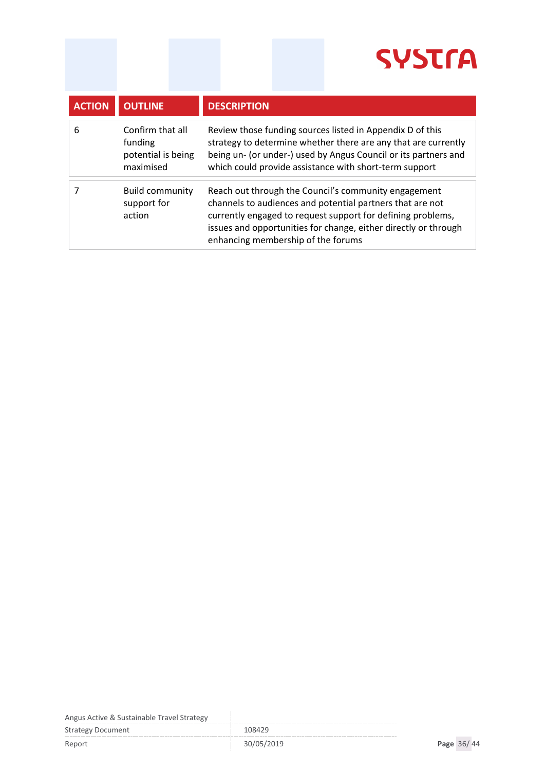| <b>ACTION</b> | <b>OUTLINE</b>                                                 | <b>DESCRIPTION</b>                                                                                                                                                                                                                                                                        |
|---------------|----------------------------------------------------------------|-------------------------------------------------------------------------------------------------------------------------------------------------------------------------------------------------------------------------------------------------------------------------------------------|
| 6             | Confirm that all<br>funding<br>potential is being<br>maximised | Review those funding sources listed in Appendix D of this<br>strategy to determine whether there are any that are currently<br>being un- (or under-) used by Angus Council or its partners and<br>which could provide assistance with short-term support                                  |
|               | <b>Build community</b><br>support for<br>action                | Reach out through the Council's community engagement<br>channels to audiences and potential partners that are not<br>currently engaged to request support for defining problems,<br>issues and opportunities for change, either directly or through<br>enhancing membership of the forums |

Angus Active & Sustainable Travel Strategy

Strategy Document 108429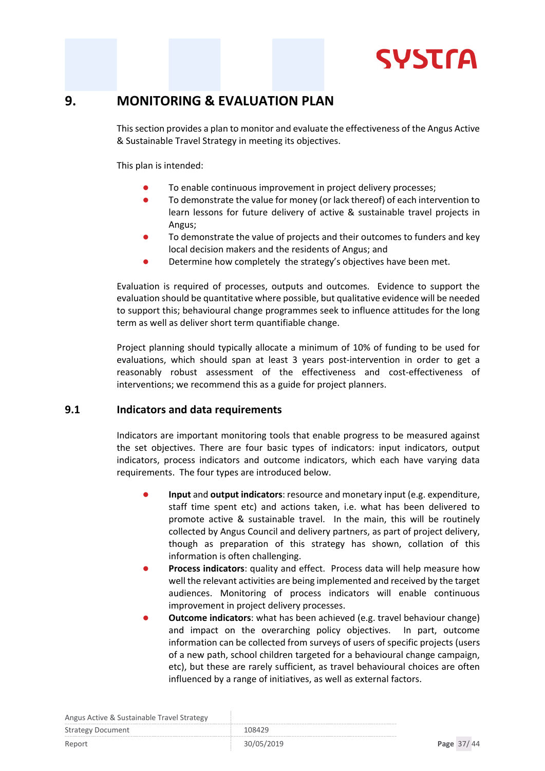

### <span id="page-36-0"></span>**9. MONITORING & EVALUATION PLAN**

This section provides a plan to monitor and evaluate the effectiveness of the Angus Active & Sustainable Travel Strategy in meeting its objectives.

This plan is intended:

- To enable continuous improvement in project delivery processes;
- To demonstrate the value for money (or lack thereof) of each intervention to learn lessons for future delivery of active & sustainable travel projects in Angus;
- To demonstrate the value of projects and their outcomes to funders and key local decision makers and the residents of Angus; and
- Determine how completely the strategy's objectives have been met.

Evaluation is required of processes, outputs and outcomes. Evidence to support the evaluation should be quantitative where possible, but qualitative evidence will be needed to support this; behavioural change programmes seek to influence attitudes for the long term as well as deliver short term quantifiable change.

Project planning should typically allocate a minimum of 10% of funding to be used for evaluations, which should span at least 3 years post-intervention in order to get a reasonably robust assessment of the effectiveness and cost-effectiveness of interventions; we recommend this as a guide for project planners.

#### <span id="page-36-1"></span>**9.1 Indicators and data requirements**

Indicators are important monitoring tools that enable progress to be measured against the set objectives. There are four basic types of indicators: input indicators, output indicators, process indicators and outcome indicators, which each have varying data requirements. The four types are introduced below.

- **Input** and **output indicators**: resource and monetary input (e.g. expenditure, staff time spent etc) and actions taken, i.e. what has been delivered to promote active & sustainable travel. In the main, this will be routinely collected by Angus Council and delivery partners, as part of project delivery, though as preparation of this strategy has shown, collation of this information is often challenging.
- **Process indicators**: quality and effect. Process data will help measure how well the relevant activities are being implemented and received by the target audiences. Monitoring of process indicators will enable continuous improvement in project delivery processes.
- **Outcome indicators**: what has been achieved (e.g. travel behaviour change) and impact on the overarching policy objectives. In part, outcome information can be collected from surveys of users of specific projects (users of a new path, school children targeted for a behavioural change campaign, etc), but these are rarely sufficient, as travel behavioural choices are often influenced by a range of initiatives, as well as external factors.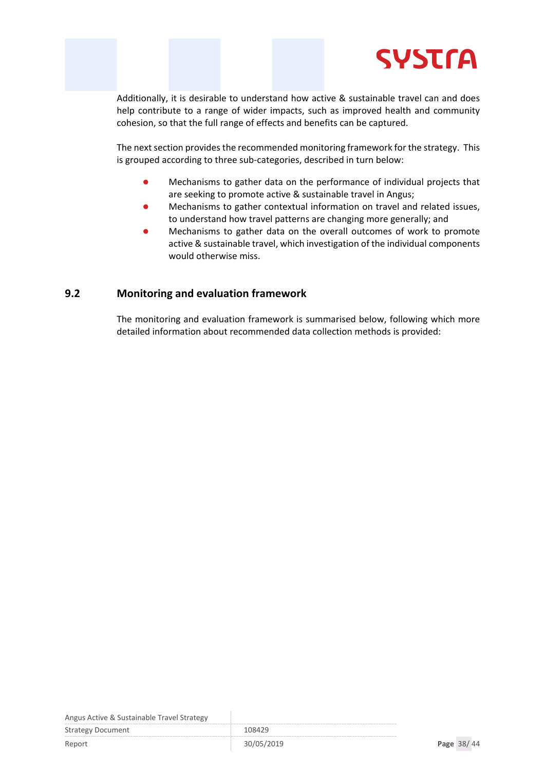

Additionally, it is desirable to understand how active & sustainable travel can and does help contribute to a range of wider impacts, such as improved health and community cohesion, so that the full range of effects and benefits can be captured.

The next section provides the recommended monitoring framework for the strategy. This is grouped according to three sub-categories, described in turn below:

- Mechanisms to gather data on the performance of individual projects that are seeking to promote active & sustainable travel in Angus;
- Mechanisms to gather contextual information on travel and related issues, to understand how travel patterns are changing more generally; and
- Mechanisms to gather data on the overall outcomes of work to promote active & sustainable travel, which investigation of the individual components would otherwise miss.

#### <span id="page-37-0"></span>**9.2 Monitoring and evaluation framework**

The monitoring and evaluation framework is summarised below, following which more detailed information about recommended data collection methods is provided:

Angus Active & Sustainable Travel Strategy

Strategy Document 108429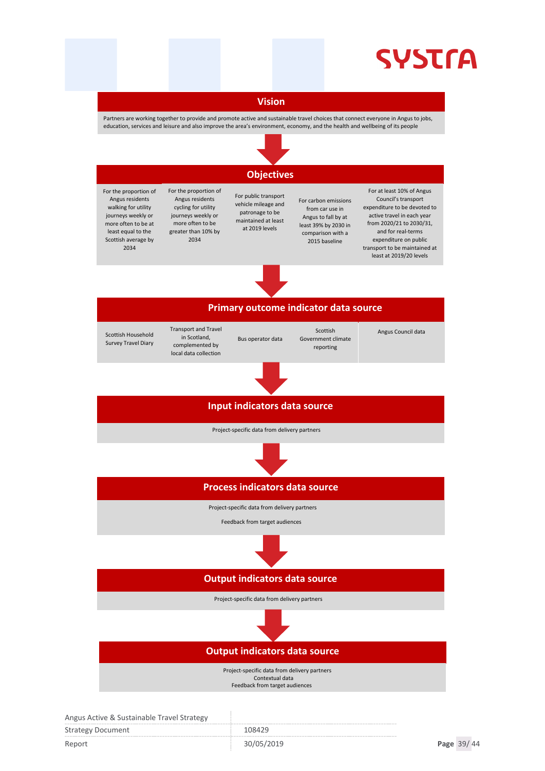# **SYSTrA**

#### **Vision**

Partners are working together to provide and promote active and sustainable travel choices that connect everyone in Angus to jobs, education, services and leisure and also improve the area's environment, economy, and the health and wellbeing of its people



### **Objectives**

- For the proportion of Angus residents walking for utility journeys weekly or more often to be at least equal to the Scottish average by 2034
- For the proportion of Angus residents cycling for utility journeys weekly or more often to be greater than 10% by 2034

For public transport vehicle mileage and patronage to be maintained at least at 2019 levels

For carbon emissions from car use in Angus to fall by at least 39% by 2030 in comparison with a 2015 baseline

For at least 10% of Angus Council's transport expenditure to be devoted to active travel in each year from 2020/21 to 2030/31, and for real-terms expenditure on public transport to be maintained at least at 2019/20 levels



#### **Primary outcome indicator data source** Transport and Travel in Scotland, Bus operator data Scottish Angus Council data

Scottish Household Survey Travel Diary

complemented by local data collection Government climate reporting

# **Input indicators data source**

Project-specific data from delivery partners



**Process indicators data source**

Project-specific data from delivery partners

Feedback from target audiences



### **Output indicators data source**

Project-specific data from delivery partners



**Output indicators data source**

 Project-specific data from delivery partners Contextual data

Feedback from target audiences

| Aligus Active & Sustalliable Travel Strategy |            |            |  |
|----------------------------------------------|------------|------------|--|
| <b>Strategy Document</b>                     | 108429     |            |  |
| Report                                       | 30/05/2019 | Page 39/44 |  |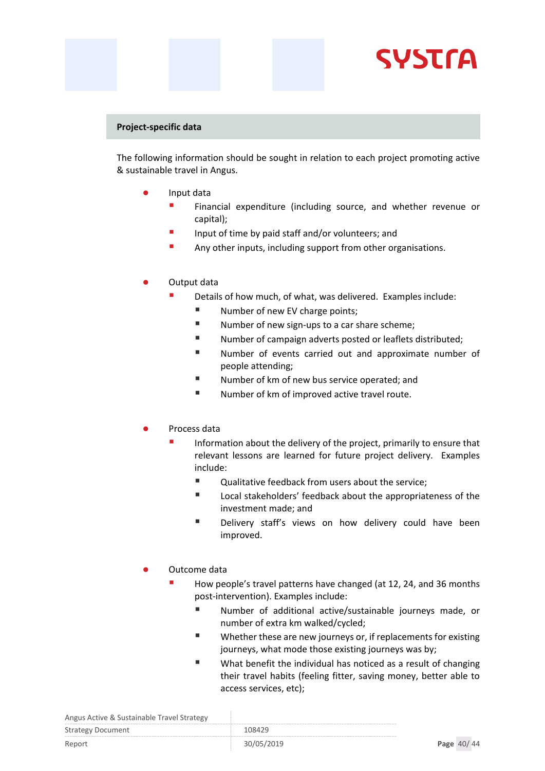# **SYSTra**

#### **Project-specific data**

The following information should be sought in relation to each project promoting active & sustainable travel in Angus.

- Input data
	- **Financial expenditure (including source, and whether revenue or** capital);
	- **If** Input of time by paid staff and/or volunteers; and
	- **Any other inputs, including support from other organisations.**
- Output data
	- Details of how much, of what, was delivered. Examples include:
		- Number of new EV charge points;
		- Number of new sign-ups to a car share scheme;
		- Number of campaign adverts posted or leaflets distributed;
		- Number of events carried out and approximate number of people attending;
		- Number of km of new bus service operated; and
		- Number of km of improved active travel route.

#### Process data

- Information about the delivery of the project, primarily to ensure that relevant lessons are learned for future project delivery. Examples include:
	- Qualitative feedback from users about the service;
	- Local stakeholders' feedback about the appropriateness of the investment made; and
	- Delivery staff's views on how delivery could have been improved.

#### Outcome data

- How people's travel patterns have changed (at 12, 24, and 36 months post-intervention). Examples include:
	- Number of additional active/sustainable journeys made, or number of extra km walked/cycled;
	- Whether these are new journeys or, if replacements for existing journeys, what mode those existing journeys was by;
	- What benefit the individual has noticed as a result of changing their travel habits (feeling fitter, saving money, better able to access services, etc);

| <b>Strategy Document</b> | 108429     |            |
|--------------------------|------------|------------|
| Report                   | 30/05/2019 | Page 40/44 |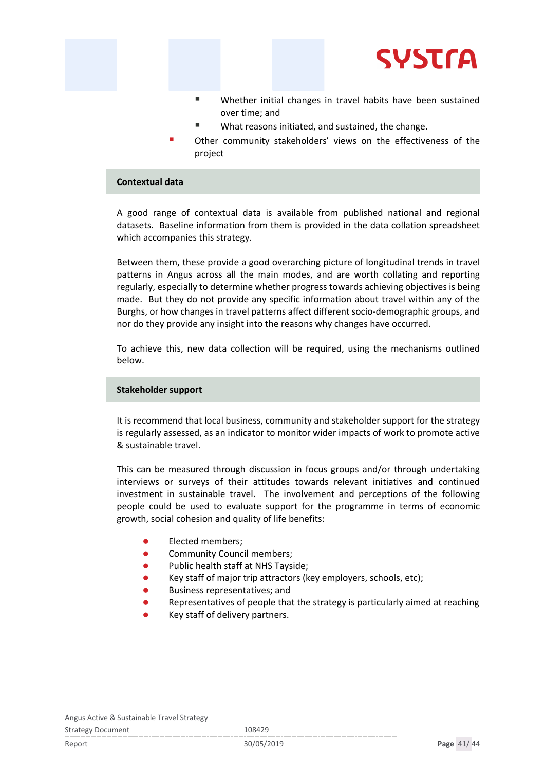

- Whether initial changes in travel habits have been sustained over time; and
- What reasons initiated, and sustained, the change.
- Other community stakeholders' views on the effectiveness of the project

#### **Contextual data**

A good range of contextual data is available from published national and regional datasets. Baseline information from them is provided in the data collation spreadsheet which accompanies this strategy.

Between them, these provide a good overarching picture of longitudinal trends in travel patterns in Angus across all the main modes, and are worth collating and reporting regularly, especially to determine whether progress towards achieving objectives is being made. But they do not provide any specific information about travel within any of the Burghs, or how changes in travel patterns affect different socio-demographic groups, and nor do they provide any insight into the reasons why changes have occurred.

To achieve this, new data collection will be required, using the mechanisms outlined below.

#### **Stakeholder support**

It is recommend that local business, community and stakeholder support for the strategy is regularly assessed, as an indicator to monitor wider impacts of work to promote active & sustainable travel.

This can be measured through discussion in focus groups and/or through undertaking interviews or surveys of their attitudes towards relevant initiatives and continued investment in sustainable travel. The involvement and perceptions of the following people could be used to evaluate support for the programme in terms of economic growth, social cohesion and quality of life benefits:

- Elected members;
- **•** Community Council members;
- Public health staff at NHS Tayside;
- Key staff of major trip attractors (key employers, schools, etc);
- Business representatives; and
- Representatives of people that the strategy is particularly aimed at reaching
- Key staff of delivery partners.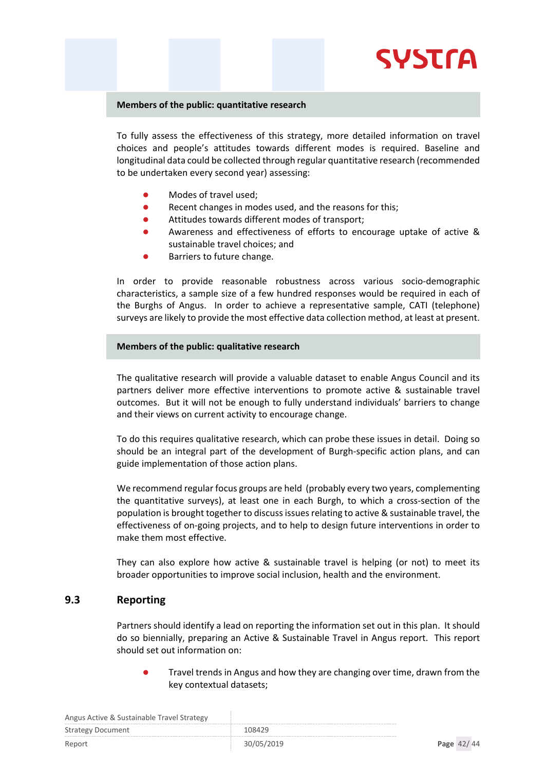# **SYSTra**

#### **Members of the public: quantitative research**

To fully assess the effectiveness of this strategy, more detailed information on travel choices and people's attitudes towards different modes is required. Baseline and longitudinal data could be collected through regular quantitative research (recommended to be undertaken every second year) assessing:

- Modes of travel used;
- Recent changes in modes used, and the reasons for this;
- Attitudes towards different modes of transport;
- Awareness and effectiveness of efforts to encourage uptake of active & sustainable travel choices; and
- Barriers to future change.

In order to provide reasonable robustness across various socio-demographic characteristics, a sample size of a few hundred responses would be required in each of the Burghs of Angus. In order to achieve a representative sample, CATI (telephone) surveys are likely to provide the most effective data collection method, at least at present.

#### **Members of the public: qualitative research**

The qualitative research will provide a valuable dataset to enable Angus Council and its partners deliver more effective interventions to promote active & sustainable travel outcomes. But it will not be enough to fully understand individuals' barriers to change and their views on current activity to encourage change.

To do this requires qualitative research, which can probe these issues in detail. Doing so should be an integral part of the development of Burgh-specific action plans, and can guide implementation of those action plans.

We recommend regular focus groups are held (probably every two years, complementing the quantitative surveys), at least one in each Burgh, to which a cross-section of the population is brought together to discuss issues relating to active & sustainable travel, the effectiveness of on-going projects, and to help to design future interventions in order to make them most effective.

They can also explore how active & sustainable travel is helping (or not) to meet its broader opportunities to improve social inclusion, health and the environment.

#### <span id="page-41-0"></span>**9.3 Reporting**

Partners should identify a lead on reporting the information set out in this plan. It should do so biennially, preparing an Active & Sustainable Travel in Angus report. This report should set out information on:

 Travel trends in Angus and how they are changing over time, drawn from the key contextual datasets;

| Angus Active & Sustainable Travel Strategy |            |            |
|--------------------------------------------|------------|------------|
| <b>Strategy Document</b>                   | 108429     |            |
| Report                                     | 30/05/2019 | Page 42/44 |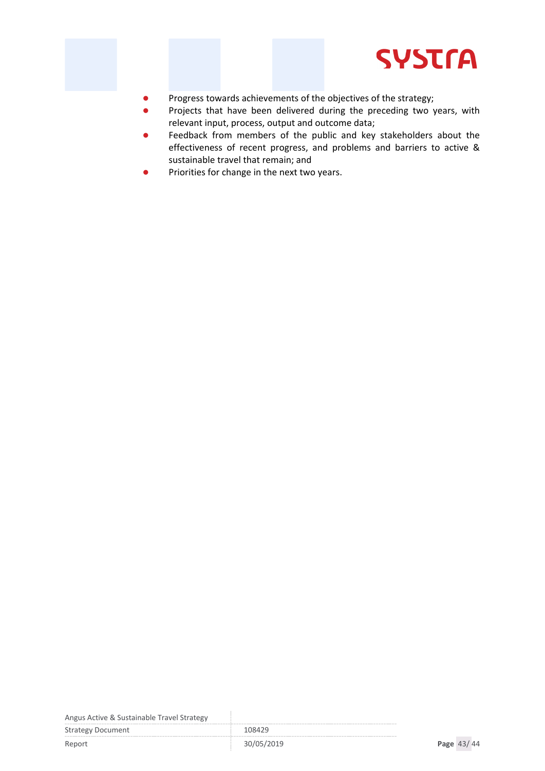

- Progress towards achievements of the objectives of the strategy;
- Projects that have been delivered during the preceding two years, with relevant input, process, output and outcome data;
- Feedback from members of the public and key stakeholders about the effectiveness of recent progress, and problems and barriers to active & sustainable travel that remain; and
- Priorities for change in the next two years.